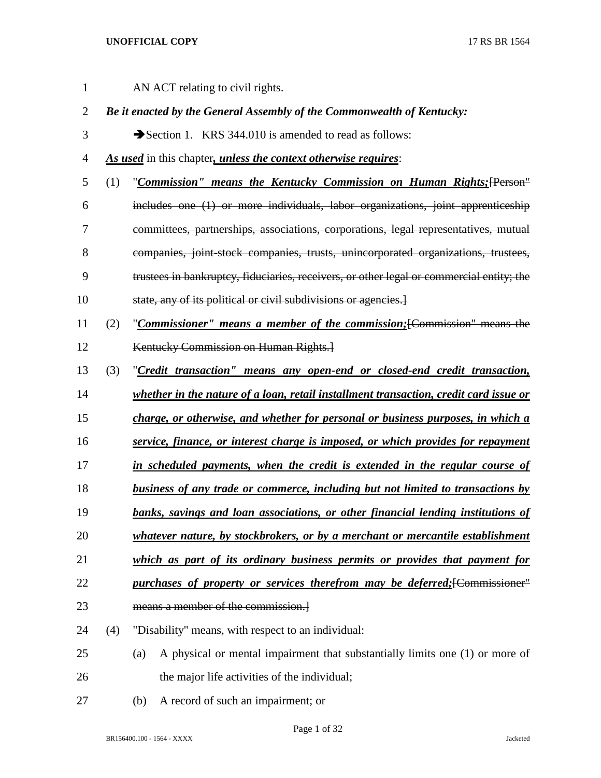| $\mathbf{1}$   | AN ACT relating to civil rights.                                       |                                                                                          |  |  |  |  |  |
|----------------|------------------------------------------------------------------------|------------------------------------------------------------------------------------------|--|--|--|--|--|
| $\mathbf{2}$   | Be it enacted by the General Assembly of the Commonwealth of Kentucky: |                                                                                          |  |  |  |  |  |
| 3              |                                                                        | Section 1. KRS 344.010 is amended to read as follows:                                    |  |  |  |  |  |
| $\overline{4}$ |                                                                        | As used in this chapter, unless the context otherwise requires:                          |  |  |  |  |  |
| 5              | (1)                                                                    | "Commission" means the Kentucky Commission on Human Rights; [Person"                     |  |  |  |  |  |
| 6              |                                                                        | includes one (1) or more individuals, labor organizations, joint apprenticeship          |  |  |  |  |  |
| 7              |                                                                        | committees, partnerships, associations, corporations, legal representatives, mutual      |  |  |  |  |  |
| 8              |                                                                        | companies, joint-stock companies, trusts, unincorporated organizations, trustees,        |  |  |  |  |  |
| 9              |                                                                        | trustees in bankruptcy, fiduciaries, receivers, or other legal or commercial entity; the |  |  |  |  |  |
| 10             |                                                                        | state, any of its political or civil subdivisions or agencies.                           |  |  |  |  |  |
| 11             | (2)                                                                    | "Commissioner" means a member of the commission; [Commission" means the                  |  |  |  |  |  |
| 12             |                                                                        | Kentucky Commission on Human Rights.                                                     |  |  |  |  |  |
| 13             | (3)                                                                    | "Credit transaction" means any open-end or closed-end credit transaction,                |  |  |  |  |  |
| 14             |                                                                        | whether in the nature of a loan, retail installment transaction, credit card issue or    |  |  |  |  |  |
| 15             |                                                                        | charge, or otherwise, and whether for personal or business purposes, in which a          |  |  |  |  |  |
| 16             |                                                                        | service, finance, or interest charge is imposed, or which provides for repayment         |  |  |  |  |  |
| 17             |                                                                        | in scheduled payments, when the credit is extended in the regular course of              |  |  |  |  |  |
| 18             |                                                                        | business of any trade or commerce, including but not limited to transactions by          |  |  |  |  |  |
| 19             |                                                                        | banks, savings and loan associations, or other financial lending institutions of         |  |  |  |  |  |
| 20             |                                                                        | whatever nature, by stockbrokers, or by a merchant or mercantile establishment           |  |  |  |  |  |
| 21             |                                                                        | which as part of its ordinary business permits or provides that payment for              |  |  |  |  |  |
| 22             |                                                                        | purchases of property or services therefrom may be deferred; [Commissioner"              |  |  |  |  |  |
| 23             |                                                                        | means a member of the commission.                                                        |  |  |  |  |  |
| 24             | (4)                                                                    | "Disability" means, with respect to an individual:                                       |  |  |  |  |  |
| 25             |                                                                        | A physical or mental impairment that substantially limits one (1) or more of<br>(a)      |  |  |  |  |  |
| 26             |                                                                        | the major life activities of the individual;                                             |  |  |  |  |  |
| 27             |                                                                        | A record of such an impairment; or<br>(b)                                                |  |  |  |  |  |

BR156400.100 - 1564 - XXXX Jacketed

Page 1 of 32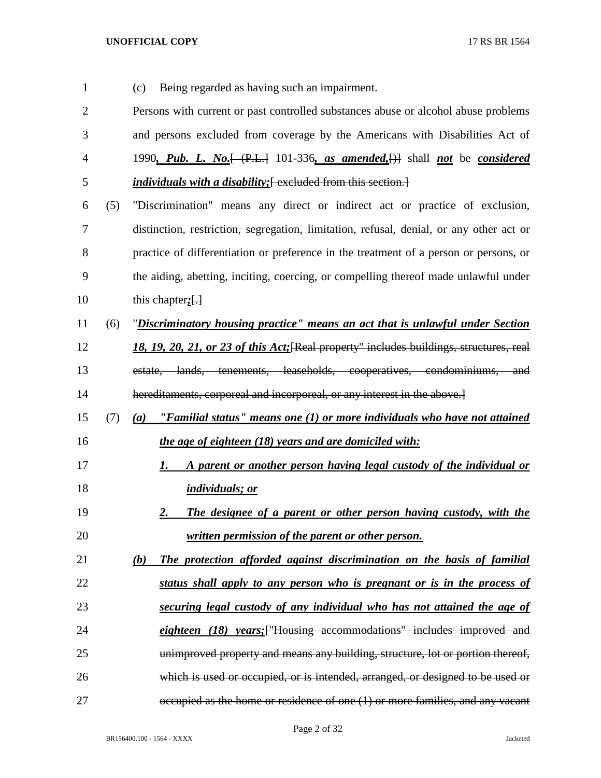| 1              |     | Being regarded as having such an impairment.<br>(c)                                                                        |  |  |  |  |  |
|----------------|-----|----------------------------------------------------------------------------------------------------------------------------|--|--|--|--|--|
| $\overline{2}$ |     | Persons with current or past controlled substances abuse or alcohol abuse problems                                         |  |  |  |  |  |
| 3              |     | and persons excluded from coverage by the Americans with Disabilities Act of                                               |  |  |  |  |  |
| $\overline{4}$ |     | 1990, Pub. L. No. $\left\{\left(\text{P.L.}\right)$ 101-336, as amended, $\left\{\right\}\right\}$ shall not be considered |  |  |  |  |  |
| 5              |     | <i>individuals with a disability</i> ; [excluded from this section.]                                                       |  |  |  |  |  |
| 6              | (5) | "Discrimination" means any direct or indirect act or practice of exclusion,                                                |  |  |  |  |  |
| $\tau$         |     | distinction, restriction, segregation, limitation, refusal, denial, or any other act or                                    |  |  |  |  |  |
| 8              |     | practice of differentiation or preference in the treatment of a person or persons, or                                      |  |  |  |  |  |
| 9              |     | the aiding, abetting, inciting, coercing, or compelling thereof made unlawful under                                        |  |  |  |  |  |
| 10             |     | this chapter; $\left\{ \cdot \right\}$                                                                                     |  |  |  |  |  |
| 11             | (6) | "Discriminatory housing practice" means an act that is unlawful under Section                                              |  |  |  |  |  |
| 12             |     | 18, 19, 20, 21, or 23 of this Act; [Real property" includes buildings, structures, real                                    |  |  |  |  |  |
| 13             |     | estate, lands, tenements, leaseholds, cooperatives, condominiums, and                                                      |  |  |  |  |  |
| 14             |     | hereditaments, corporeal and incorporeal, or any interest in the above.]                                                   |  |  |  |  |  |
| 15             | (7) | (a) "Familial status" means one $(1)$ or more individuals who have not attained                                            |  |  |  |  |  |
| 16             |     | the age of eighteen (18) years and are domiciled with:                                                                     |  |  |  |  |  |
| 17             |     | A parent or another person having legal custody of the individual or<br>1.                                                 |  |  |  |  |  |
| 18             |     | individuals; or                                                                                                            |  |  |  |  |  |
| 19             |     | The designee of a parent or other person having custody, with the<br><u>2.</u>                                             |  |  |  |  |  |
| 20             |     | written permission of the parent or other person.                                                                          |  |  |  |  |  |
| 21             |     | (b)<br>The protection afforded against discrimination on the basis of familial                                             |  |  |  |  |  |
| 22             |     | status shall apply to any person who is pregnant or is in the process of                                                   |  |  |  |  |  |
| 23             |     | securing legal custody of any individual who has not attained the age of                                                   |  |  |  |  |  |
| 24             |     | eighteen (18) years; ["Housing accommodations" includes improved and                                                       |  |  |  |  |  |
| 25             |     | unimproved property and means any building, structure, lot or portion thereof,                                             |  |  |  |  |  |
| 26             |     | which is used or occupied, or is intended, arranged, or designed to be used or                                             |  |  |  |  |  |
| 27             |     | occupied as the home or residence of one (1) or more families, and any vacant                                              |  |  |  |  |  |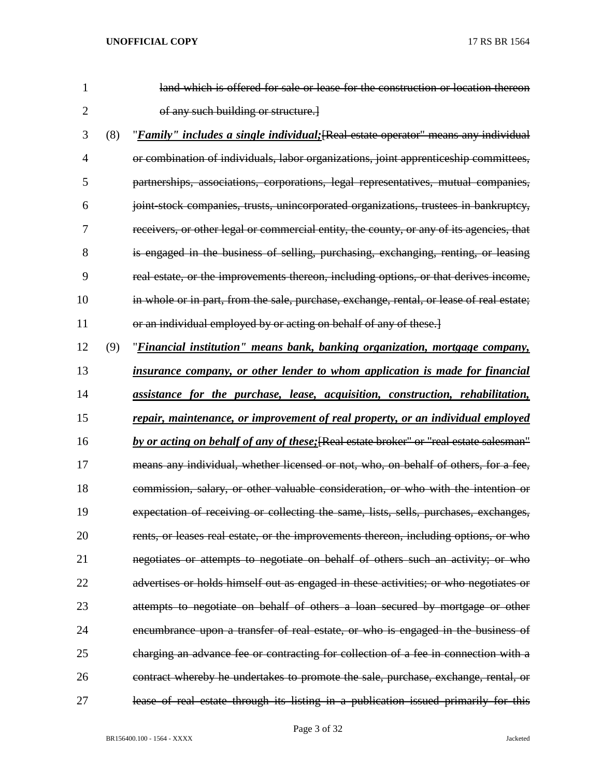| 1  |     | land which is offered for sale or lease for the construction or location thereon            |
|----|-----|---------------------------------------------------------------------------------------------|
| 2  |     | of any such building or structure.]                                                         |
| 3  | (8) | " <i>Family" includes a single individual</i> ; [Real estate operator" means any individual |
| 4  |     | or combination of individuals, labor organizations, joint apprenticeship committees,        |
| 5  |     | partnerships, associations, corporations, legal representatives, mutual companies,          |
| 6  |     | joint stock companies, trusts, unincorporated organizations, trustees in bankruptcy,        |
| 7  |     | receivers, or other legal or commercial entity, the county, or any of its agencies, that    |
| 8  |     | is engaged in the business of selling, purchasing, exchanging, renting, or leasing          |
| 9  |     | real estate, or the improvements thereon, including options, or that derives income,        |
| 10 |     | in whole or in part, from the sale, purchase, exchange, rental, or lease of real estate;    |
| 11 |     | or an individual employed by or acting on behalf of any of these.]                          |
| 12 | (9) | "Financial institution" means bank, banking organization, mortgage company,                 |
| 13 |     | insurance company, or other lender to whom application is made for financial                |
| 14 |     | assistance for the purchase, lease, acquisition, construction, rehabilitation,              |
| 15 |     | repair, maintenance, or improvement of real property, or an individual employed             |
| 16 |     | by or acting on behalf of any of these; [Real estate broker" or "real estate salesman"      |
| 17 |     | means any individual, whether licensed or not, who, on behalf of others, for a fee,         |
| 18 |     | commission, salary, or other valuable consideration, or who with the intention or           |
| 19 |     | expectation of receiving or collecting the same, lists, sells, purchases, exchanges,        |
| 20 |     | rents, or leases real estate, or the improvements thereon, including options, or who        |
| 21 |     | negotiates or attempts to negotiate on behalf of others such an activity; or who            |
| 22 |     | advertises or holds himself out as engaged in these activities; or who negotiates or        |
| 23 |     | attempts to negotiate on behalf of others a loan secured by mortgage or other               |
| 24 |     | encumbrance upon a transfer of real estate, or who is engaged in the business of            |
| 25 |     | charging an advance fee or contracting for collection of a fee in connection with a         |
| 26 |     | contract whereby he undertakes to promote the sale, purchase, exchange, rental, or          |
| 27 |     | lease of real estate through its listing in a publication issued primarily for this         |

Page 3 of 32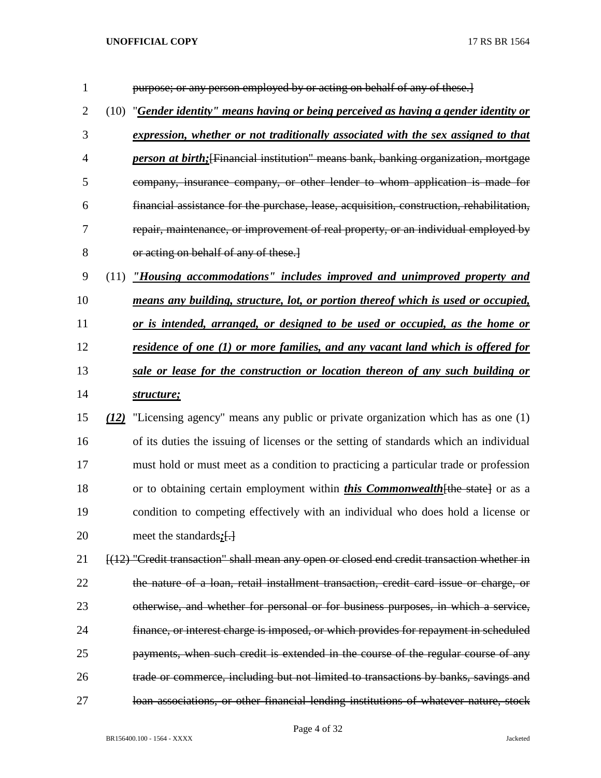| 1              |      | purpose; or any person employed by or acting on behalf of any of these.                     |  |  |
|----------------|------|---------------------------------------------------------------------------------------------|--|--|
| $\overline{2}$ | (10) | "Gender identity" means having or being perceived as having a gender identity or            |  |  |
| 3              |      | expression, whether or not traditionally associated with the sex assigned to that           |  |  |
| $\overline{4}$ |      | <i>person at birth</i> ; [Financial institution" means bank, banking organization, mortgage |  |  |
| 5              |      | company, insurance company, or other lender to whom application is made for                 |  |  |
| 6              |      | financial assistance for the purchase, lease, acquisition, construction, rehabilitation,    |  |  |
| 7              |      | repair, maintenance, or improvement of real property, or an individual employed by          |  |  |
| 8              |      | or acting on behalf of any of these.                                                        |  |  |
| 9              |      | (11) "Housing accommodations" includes improved and unimproved property and                 |  |  |
| 10             |      | means any building, structure, lot, or portion thereof which is used or occupied,           |  |  |
| 11             |      | or is intended, arranged, or designed to be used or occupied, as the home or                |  |  |
| 12             |      | residence of one (1) or more families, and any vacant land which is offered for             |  |  |
| 13             |      | sale or lease for the construction or location thereon of any such building or              |  |  |
| 14             |      | structure;                                                                                  |  |  |
| 15             |      | $(12)$ "Licensing agency" means any public or private organization which has as one $(1)$   |  |  |
| 16             |      | of its duties the issuing of licenses or the setting of standards which an individual       |  |  |
| 17             |      | must hold or must meet as a condition to practicing a particular trade or profession        |  |  |
| 18             |      | or to obtaining certain employment within <i>this Commonwealth</i> [the state] or as a      |  |  |
| 19             |      | condition to competing effectively with an individual who does hold a license or            |  |  |
| 20             |      | meet the standards:[-]                                                                      |  |  |
| 21             |      | [(12) "Credit transaction" shall mean any open or closed end credit transaction whether in  |  |  |
| 22             |      | the nature of a loan, retail installment transaction, credit card issue or charge, or       |  |  |
| 23             |      | otherwise, and whether for personal or for business purposes, in which a service,           |  |  |
| 24             |      | finance, or interest charge is imposed, or which provides for repayment in scheduled        |  |  |
| 25             |      | payments, when such credit is extended in the course of the regular course of any           |  |  |
|                |      |                                                                                             |  |  |

loan associations, or other financial lending institutions of whatever nature, stock

Page 4 of 32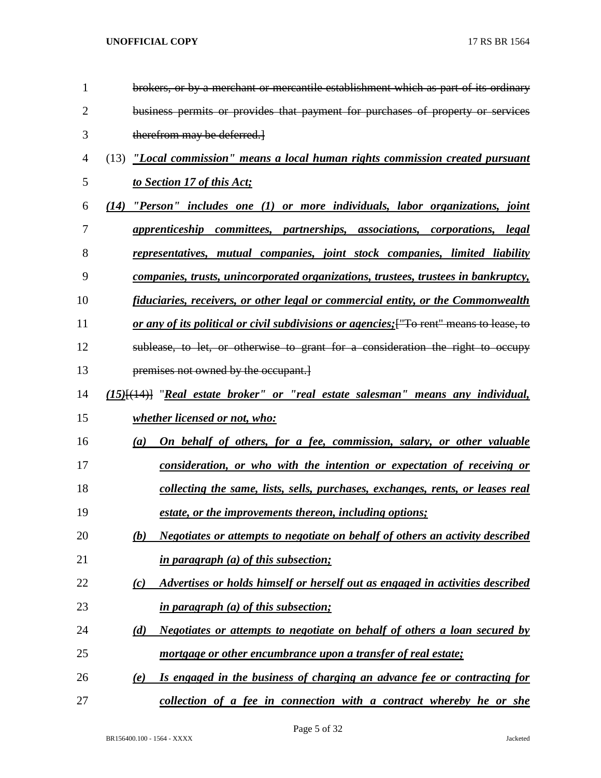| $\mathbf{1}$   | brokers, or by a merchant or mercantile establishment which as part of its ordinary      |
|----------------|------------------------------------------------------------------------------------------|
| $\overline{2}$ | business permits or provides that payment for purchases of property or services          |
| 3              | therefrom may be deferred.                                                               |
| $\overline{4}$ | (13) "Local commission" means a local human rights commission created pursuant           |
| 5              | to Section 17 of this Act;                                                               |
| 6              | (14) "Person" includes one (1) or more individuals, labor organizations, joint           |
| 7              | apprenticeship committees, partnerships, associations, corporations, legal               |
| 8              | representatives, mutual companies, joint stock companies, limited liability              |
| 9              | companies, trusts, unincorporated organizations, trustees, trustees in bankruptcy,       |
| 10             | fiduciaries, receivers, or other legal or commercial entity, or the Commonwealth         |
| 11             | or any of its political or civil subdivisions or agencies; ["To rent" means to lease, to |
| 12             | sublease, to let, or otherwise to grant for a consideration the right to occupy          |
| 13             | premises not owned by the occupant.                                                      |
| 14             | $(15)$ [ $(14)$ ] "Real estate broker" or "real estate salesman" means any individual,   |
| 15             | whether licensed or not, who:                                                            |
| 16             | On behalf of others, for a fee, commission, salary, or other valuable<br>(a)             |
| 17             | consideration, or who with the intention or expectation of receiving or                  |
| 18             | collecting the same, lists, sells, purchases, exchanges, rents, or leases real           |
| 19             | estate, or the improvements thereon, including options;                                  |
| 20             | Negotiates or attempts to negotiate on behalf of others an activity described<br>(b)     |
| 21             | <i>in paragraph (a) of this subsection;</i>                                              |
| 22             | Advertises or holds himself or herself out as engaged in activities described<br>(c)     |
| 23             | <i>in paragraph (a) of this subsection;</i>                                              |
| 24             | Negotiates or attempts to negotiate on behalf of others a loan secured by<br>(d)         |
| 25             | mortgage or other encumbrance upon a transfer of real estate;                            |
| 26             | Is engaged in the business of charging an advance fee or contracting for<br>(e)          |
| 27             | collection of a fee in connection with a contract whereby he or she                      |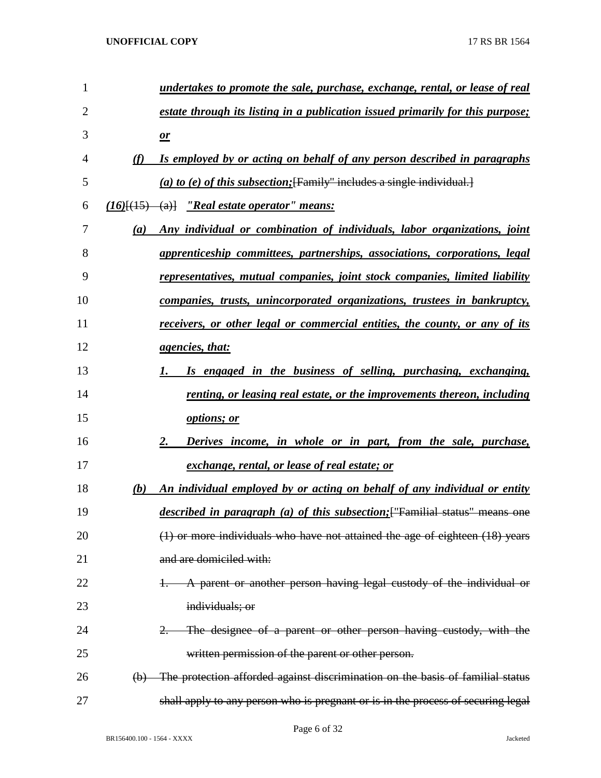| $\mathbf{1}$ |          | undertakes to promote the sale, purchase, exchange, rental, or lease of real       |  |  |  |
|--------------|----------|------------------------------------------------------------------------------------|--|--|--|
| 2            |          | estate through its listing in a publication issued primarily for this purpose;     |  |  |  |
| 3            |          | $\mathbf{\underline{\mathit{or}}}$                                                 |  |  |  |
| 4            | (f)      | Is employed by or acting on behalf of any person described in paragraphs           |  |  |  |
| 5            |          | (a) to (e) of this subsection; [Family" includes a single individual.]             |  |  |  |
| 6            |          | $(16)$ [ $(15)$ $(a)$ ] <i>"Real estate operator" means:</i>                       |  |  |  |
| 7            | (a)      | Any individual or combination of individuals, labor organizations, joint           |  |  |  |
| 8            |          | apprenticeship committees, partnerships, associations, corporations, legal         |  |  |  |
| 9            |          | <u>representatives, mutual companies, joint stock companies, limited liability</u> |  |  |  |
| 10           |          | <u>companies, trusts, unincorporated organizations, trustees in bankruptcy,</u>    |  |  |  |
| 11           |          | receivers, or other legal or commercial entities, the county, or any of its        |  |  |  |
| 12           |          | <u>agencies, that:</u>                                                             |  |  |  |
| 13           |          | Is engaged in the business of selling, purchasing, exchanging,<br>1.               |  |  |  |
| 14           |          | renting, or leasing real estate, or the improvements thereon, including            |  |  |  |
| 15           |          | <i>options; or</i>                                                                 |  |  |  |
| 16           |          | Derives income, in whole or in part, from the sale, purchase,<br>2.                |  |  |  |
| 17           |          | <u>exchange, rental, or lease of real estate; or</u>                               |  |  |  |
| 18           | (b)      | An individual employed by or acting on behalf of any individual or entity          |  |  |  |
| 19           |          | described in paragraph (a) of this subsection; Framilial status" means one         |  |  |  |
| 20           |          | (1) or more individuals who have not attained the age of eighteen (18) years       |  |  |  |
| 21           |          | and are domiciled with:                                                            |  |  |  |
| 22           |          | A parent or another person having legal custody of the individual or               |  |  |  |
| 23           |          | individuals; or                                                                    |  |  |  |
| 24           |          | The designee of a parent or other person having custody, with the                  |  |  |  |
| 25           |          | written permission of the parent or other person.                                  |  |  |  |
| 26           | $\Theta$ | The protection afforded against discrimination on the basis of familial status     |  |  |  |
| 27           |          | shall apply to any person who is pregnant or is in the process of securing legal   |  |  |  |

Page 6 of 32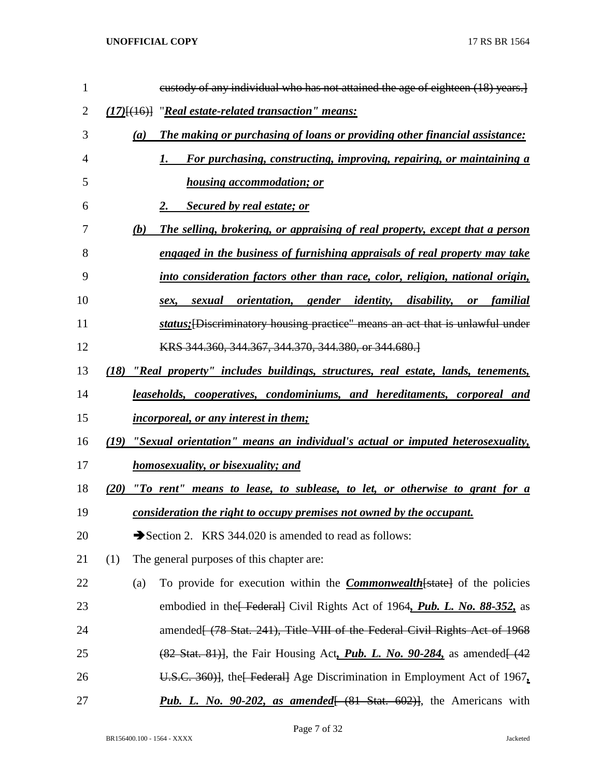| $\mathbf{1}$ | eustody of any individual who has not attained the age of eighteen (18) years.]                                  |
|--------------|------------------------------------------------------------------------------------------------------------------|
| 2            | (17)[(16)] "Real estate-related transaction" means:                                                              |
| 3            | The making or purchasing of loans or providing other financial assistance:<br>(a)                                |
| 4            | For purchasing, constructing, improving, repairing, or maintaining a<br>1.                                       |
| 5            | <b>housing accommodation; or</b>                                                                                 |
| 6            | <b>Secured by real estate; or</b><br>2.                                                                          |
| 7            | The selling, brokering, or appraising of real property, except that a person<br>(b)                              |
| 8            | engaged in the business of furnishing appraisals of real property may take                                       |
| 9            | into consideration factors other than race, color, religion, national origin,                                    |
| 10           | orientation, gender identity, disability,<br><i>sexual</i><br>familial<br>$\boldsymbol{or}$<br>sex,              |
| 11           | status; [Discriminatory housing practice" means an act that is unlawful under                                    |
| 12           | KRS 344.360, 344.367, 344.370, 344.380, or 344.680.                                                              |
| 13           | (18) "Real property" includes buildings, structures, real estate, lands, tenements,                              |
| 14           | <u>leaseholds, cooperatives, condominiums, and hereditaments, corporeal and</u>                                  |
| 15           | <i>incorporeal, or any interest in them;</i>                                                                     |
| 16           | "Sexual orientation" means an individual's actual or imputed heterosexuality,<br>(19)                            |
| 17           | homosexuality, or bisexuality; and                                                                               |
| 18           | (20) "To rent" means to lease, to sublease, to let, or otherwise to grant for a                                  |
| 19           | consideration the right to occupy premises not owned by the occupant.                                            |
| 20           | Section 2. KRS 344.020 is amended to read as follows:                                                            |
| 21           | (1)<br>The general purposes of this chapter are:                                                                 |
| 22           | To provide for execution within the <b>Commonwealth</b> [state] of the policies<br>(a)                           |
| 23           | embodied in the Federal Civil Rights Act of 1964, Pub. L. No. 88-352, as                                         |
| 24           | amended[ (78 Stat. 241), Title VIII of the Federal Civil Rights Act of 1968                                      |
| 25           | $(82 \text{ Stat. } 81)$ , the Fair Housing Act, <i>Pub. L. No. 90-284</i> , as amended $(42 \text{ rad. } 100)$ |
| 26           | U.S.C. 360)], the Federal Age Discrimination in Employment Act of 1967.                                          |
| 27           | <b>Pub. L.</b> No. $90-202$ , as amended $(81 \text{ Stat. } 602)$ , the Americans with                          |

Page 7 of 32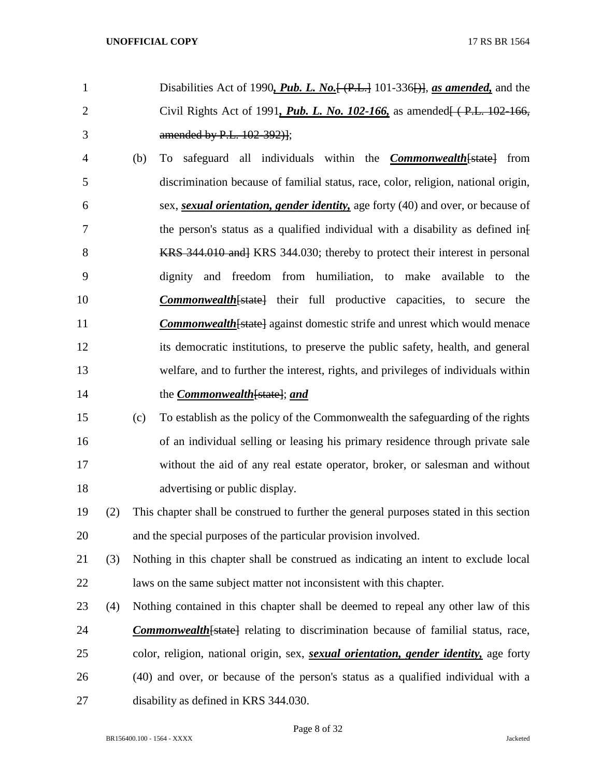- Disabilities Act of 1990*, Pub. L. No.*[ (P.L.] 101-336[)], *as amended,* and the Civil Rights Act of 1991*, Pub. L. No. 102-166,* as amended[ ( P.L. 102-166, amended by P.L. 102-392)];
- (b) To safeguard all individuals within the *Commonwealth*[state] from discrimination because of familial status, race, color, religion, national origin, sex, *sexual orientation, gender identity,* age forty (40) and over, or because of 7 the person's status as a qualified individual with a disability as defined inf 8 KRS 344.010 and KRS 344.030; thereby to protect their interest in personal dignity and freedom from humiliation, to make available to the *Commonwealth*[state] their full productive capacities, to secure the **Commonwealth** [state] against domestic strife and unrest which would menace its democratic institutions, to preserve the public safety, health, and general welfare, and to further the interest, rights, and privileges of individuals within the *Commonwealth*[state]; *and*
- (c) To establish as the policy of the Commonwealth the safeguarding of the rights of an individual selling or leasing his primary residence through private sale without the aid of any real estate operator, broker, or salesman and without 18 advertising or public display.
- (2) This chapter shall be construed to further the general purposes stated in this section and the special purposes of the particular provision involved.
- (3) Nothing in this chapter shall be construed as indicating an intent to exclude local laws on the same subject matter not inconsistent with this chapter.
- (4) Nothing contained in this chapter shall be deemed to repeal any other law of this *Commonwealth*[state] relating to discrimination because of familial status, race, color, religion, national origin, sex, *sexual orientation, gender identity,* age forty (40) and over, or because of the person's status as a qualified individual with a disability as defined in KRS 344.030.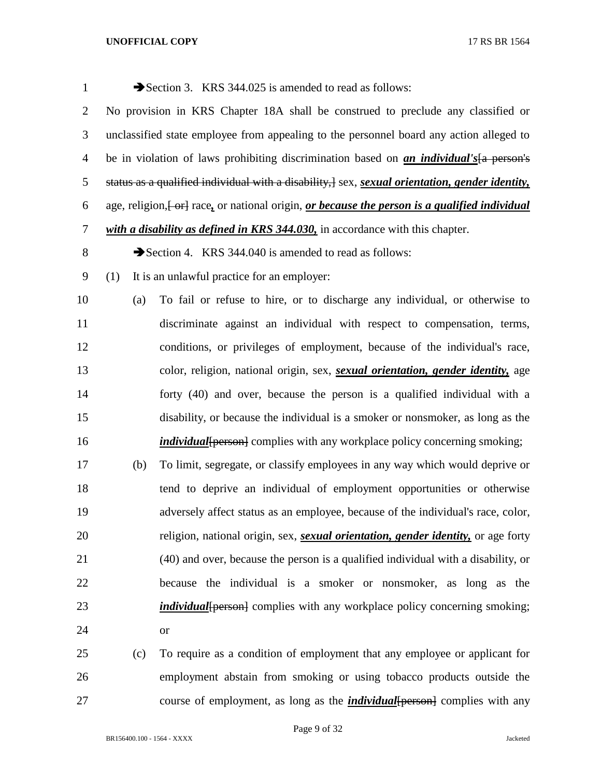| $\mathbf{1}$   |                                                                                   | Section 3. KRS 344.025 is amended to read as follows:                                             |  |  |  |  |  |
|----------------|-----------------------------------------------------------------------------------|---------------------------------------------------------------------------------------------------|--|--|--|--|--|
| $\overline{2}$ | No provision in KRS Chapter 18A shall be construed to preclude any classified or  |                                                                                                   |  |  |  |  |  |
| 3              |                                                                                   | unclassified state employee from appealing to the personnel board any action alleged to           |  |  |  |  |  |
| $\overline{4}$ |                                                                                   | be in violation of laws prohibiting discrimination based on <i>an individual's</i> [a person's    |  |  |  |  |  |
| 5              |                                                                                   | status as a qualified individual with a disability, ] sex, sexual orientation, gender identity,   |  |  |  |  |  |
| 6              |                                                                                   | age, religion, [-or] race, or national origin, or because the person is a qualified individual    |  |  |  |  |  |
| $\overline{7}$ |                                                                                   | with a disability as defined in KRS 344.030, in accordance with this chapter.                     |  |  |  |  |  |
| $8\,$          |                                                                                   | Section 4. KRS 344.040 is amended to read as follows:                                             |  |  |  |  |  |
| 9              | (1)                                                                               | It is an unlawful practice for an employer:                                                       |  |  |  |  |  |
| 10             | (a)                                                                               | To fail or refuse to hire, or to discharge any individual, or otherwise to                        |  |  |  |  |  |
| 11             |                                                                                   | discriminate against an individual with respect to compensation, terms,                           |  |  |  |  |  |
| 12             | conditions, or privileges of employment, because of the individual's race,        |                                                                                                   |  |  |  |  |  |
| 13             |                                                                                   | color, religion, national origin, sex, sexual orientation, gender identity, age                   |  |  |  |  |  |
| 14             | forty (40) and over, because the person is a qualified individual with a          |                                                                                                   |  |  |  |  |  |
| 15             | disability, or because the individual is a smoker or nonsmoker, as long as the    |                                                                                                   |  |  |  |  |  |
| 16             | <i>individual</i> {person} complies with any workplace policy concerning smoking; |                                                                                                   |  |  |  |  |  |
| 17             | (b)                                                                               | To limit, segregate, or classify employees in any way which would deprive or                      |  |  |  |  |  |
| 18             |                                                                                   | tend to deprive an individual of employment opportunities or otherwise                            |  |  |  |  |  |
| 19             |                                                                                   | adversely affect status as an employee, because of the individual's race, color,                  |  |  |  |  |  |
| 20             |                                                                                   | religion, national origin, sex, <i>sexual orientation</i> , <i>gender identity</i> , or age forty |  |  |  |  |  |
| 21             |                                                                                   | (40) and over, because the person is a qualified individual with a disability, or                 |  |  |  |  |  |
| 22             |                                                                                   | because the individual is a smoker or nonsmoker, as long as the                                   |  |  |  |  |  |
| 23             |                                                                                   | <i>individual</i> [person] complies with any workplace policy concerning smoking;                 |  |  |  |  |  |
| 24             |                                                                                   | <b>or</b>                                                                                         |  |  |  |  |  |
| 25             | (c)                                                                               | To require as a condition of employment that any employee or applicant for                        |  |  |  |  |  |
| 26             |                                                                                   | employment abstain from smoking or using tobacco products outside the                             |  |  |  |  |  |

course of employment, as long as the *individual*[person] complies with any

BR156400.100 - 1564 - XXXX Jacketed

Page 9 of 32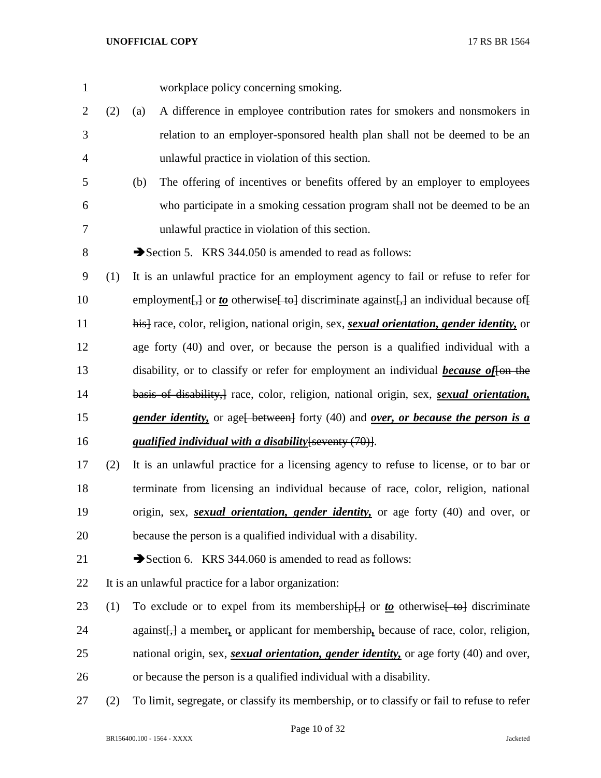- workplace policy concerning smoking.
- (2) (a) A difference in employee contribution rates for smokers and nonsmokers in relation to an employer-sponsored health plan shall not be deemed to be an unlawful practice in violation of this section.
- (b) The offering of incentives or benefits offered by an employer to employees who participate in a smoking cessation program shall not be deemed to be an unlawful practice in violation of this section.
- 8 Section 5. KRS 344.050 is amended to read as follows:

 (1) It is an unlawful practice for an employment agency to fail or refuse to refer for 10 employment [<del>,]</del> or *to* otherwise [ to ] discriminate against [,] an individual because of [ his] race, color, religion, national origin, sex, *sexual orientation, gender identity,* or age forty (40) and over, or because the person is a qualified individual with a disability, or to classify or refer for employment an individual *because of*[on the basis of disability,] race, color, religion, national origin, sex, *sexual orientation,*  **gender identity,** or age<del>[ between]</del> forty (40) and *over, or because the person is a qualified individual with a disability*[seventy (70)].

- (2) It is an unlawful practice for a licensing agency to refuse to license, or to bar or terminate from licensing an individual because of race, color, religion, national origin, sex, *sexual orientation, gender identity,* or age forty (40) and over, or because the person is a qualified individual with a disability.
- 21 Section 6. KRS 344.060 is amended to read as follows:
- It is an unlawful practice for a labor organization:
- 23 (1) To exclude or to expel from its membership<del>[,]</del> or *to* otherwise [ to discriminate against[,] a member*,* or applicant for membership*,* because of race, color, religion, national origin, sex, *sexual orientation, gender identity,* or age forty (40) and over, or because the person is a qualified individual with a disability.
- (2) To limit, segregate, or classify its membership, or to classify or fail to refuse to refer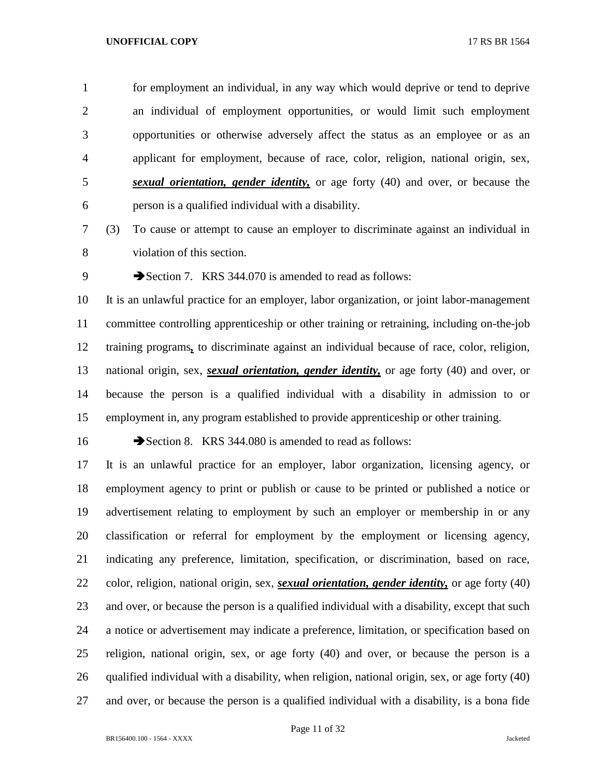for employment an individual, in any way which would deprive or tend to deprive an individual of employment opportunities, or would limit such employment opportunities or otherwise adversely affect the status as an employee or as an applicant for employment, because of race, color, religion, national origin, sex, *sexual orientation, gender identity,* or age forty (40) and over, or because the person is a qualified individual with a disability.

 (3) To cause or attempt to cause an employer to discriminate against an individual in violation of this section.

9 Section 7. KRS 344.070 is amended to read as follows:

 It is an unlawful practice for an employer, labor organization, or joint labor-management committee controlling apprenticeship or other training or retraining, including on-the-job training programs*,* to discriminate against an individual because of race, color, religion, national origin, sex, *sexual orientation, gender identity,* or age forty (40) and over, or because the person is a qualified individual with a disability in admission to or employment in, any program established to provide apprenticeship or other training.

16 Section 8. KRS 344.080 is amended to read as follows:

 It is an unlawful practice for an employer, labor organization, licensing agency, or employment agency to print or publish or cause to be printed or published a notice or advertisement relating to employment by such an employer or membership in or any classification or referral for employment by the employment or licensing agency, indicating any preference, limitation, specification, or discrimination, based on race, color, religion, national origin, sex, *sexual orientation, gender identity,* or age forty (40) 23 and over, or because the person is a qualified individual with a disability, except that such a notice or advertisement may indicate a preference, limitation, or specification based on religion, national origin, sex, or age forty (40) and over, or because the person is a qualified individual with a disability, when religion, national origin, sex, or age forty (40) and over, or because the person is a qualified individual with a disability, is a bona fide

Page 11 of 32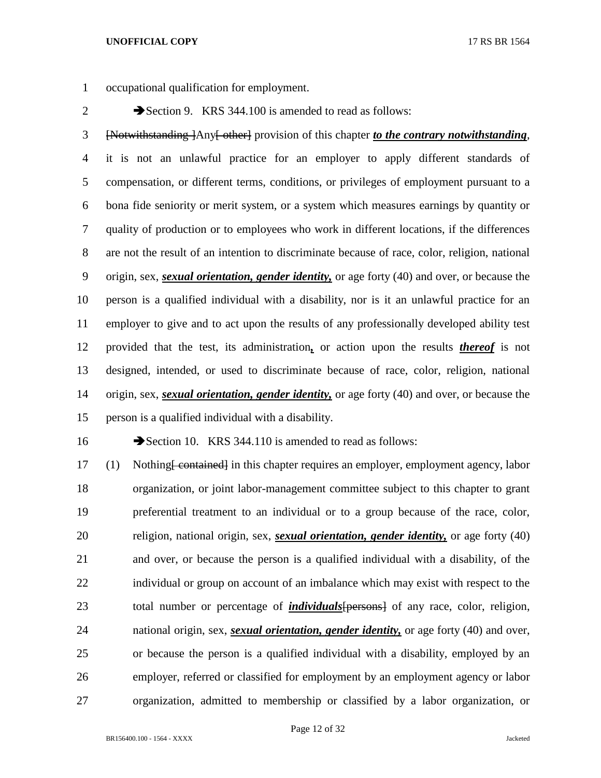occupational qualification for employment.

2 Section 9. KRS 344.100 is amended to read as follows:

 [Notwithstanding ]Any[ other] provision of this chapter *to the contrary notwithstanding*, it is not an unlawful practice for an employer to apply different standards of compensation, or different terms, conditions, or privileges of employment pursuant to a bona fide seniority or merit system, or a system which measures earnings by quantity or quality of production or to employees who work in different locations, if the differences are not the result of an intention to discriminate because of race, color, religion, national origin, sex, *sexual orientation, gender identity,* or age forty (40) and over, or because the person is a qualified individual with a disability, nor is it an unlawful practice for an employer to give and to act upon the results of any professionally developed ability test provided that the test, its administration*,* or action upon the results *thereof* is not designed, intended, or used to discriminate because of race, color, religion, national origin, sex, *sexual orientation, gender identity,* or age forty (40) and over, or because the person is a qualified individual with a disability.

16 Section 10. KRS 344.110 is amended to read as follows:

17 (1) Nothing <del>[ contained]</del> in this chapter requires an employer, employment agency, labor organization, or joint labor-management committee subject to this chapter to grant preferential treatment to an individual or to a group because of the race, color, religion, national origin, sex, *sexual orientation, gender identity,* or age forty (40) and over, or because the person is a qualified individual with a disability, of the individual or group on account of an imbalance which may exist with respect to the total number or percentage of *individuals*[persons] of any race, color, religion, national origin, sex, *sexual orientation, gender identity,* or age forty (40) and over, or because the person is a qualified individual with a disability, employed by an employer, referred or classified for employment by an employment agency or labor organization, admitted to membership or classified by a labor organization, or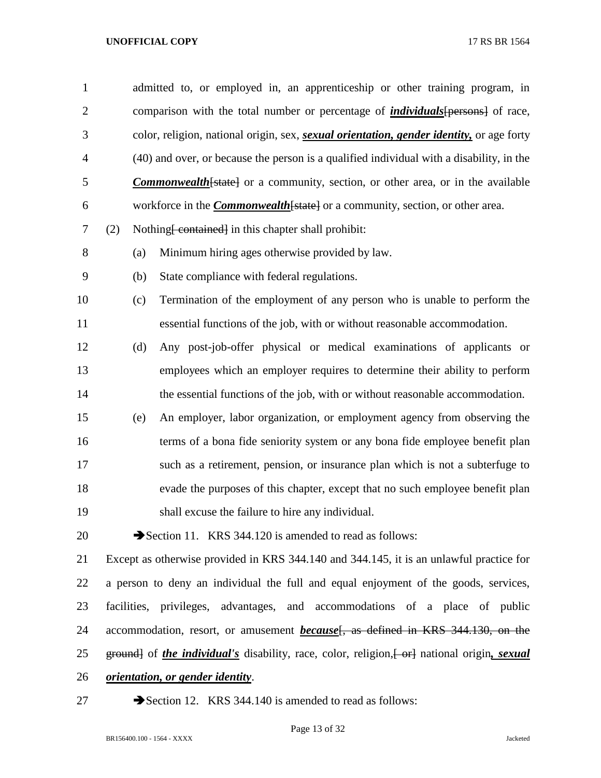| $\mathbf{1}$   | admitted to, or employed in, an apprenticeship or other training program, in                       |                                                                                                          |  |  |  |  |
|----------------|----------------------------------------------------------------------------------------------------|----------------------------------------------------------------------------------------------------------|--|--|--|--|
| $\overline{2}$ |                                                                                                    | comparison with the total number or percentage of <i>individuals</i> [persons] of race,                  |  |  |  |  |
| 3              |                                                                                                    | color, religion, national origin, sex, <i>sexual orientation</i> , <i>gender identity</i> , or age forty |  |  |  |  |
| $\overline{4}$ |                                                                                                    | (40) and over, or because the person is a qualified individual with a disability, in the                 |  |  |  |  |
| 5              |                                                                                                    | <b>Commonwealth</b> [state] or a community, section, or other area, or in the available                  |  |  |  |  |
| 6              |                                                                                                    | workforce in the <b>Commonwealth</b> [state] or a community, section, or other area.                     |  |  |  |  |
| 7              | (2)                                                                                                | Nothing <del>[contained]</del> in this chapter shall prohibit:                                           |  |  |  |  |
| 8              | (a)                                                                                                | Minimum hiring ages otherwise provided by law.                                                           |  |  |  |  |
| 9              | (b)                                                                                                | State compliance with federal regulations.                                                               |  |  |  |  |
| 10             | (c)                                                                                                | Termination of the employment of any person who is unable to perform the                                 |  |  |  |  |
| 11             |                                                                                                    | essential functions of the job, with or without reasonable accommodation.                                |  |  |  |  |
| 12             | (d)                                                                                                | Any post-job-offer physical or medical examinations of applicants or                                     |  |  |  |  |
| 13             |                                                                                                    | employees which an employer requires to determine their ability to perform                               |  |  |  |  |
| 14             |                                                                                                    | the essential functions of the job, with or without reasonable accommodation.                            |  |  |  |  |
| 15             | (e)                                                                                                | An employer, labor organization, or employment agency from observing the                                 |  |  |  |  |
| 16             |                                                                                                    | terms of a bona fide seniority system or any bona fide employee benefit plan                             |  |  |  |  |
| 17             |                                                                                                    | such as a retirement, pension, or insurance plan which is not a subterfuge to                            |  |  |  |  |
| 18             |                                                                                                    | evade the purposes of this chapter, except that no such employee benefit plan                            |  |  |  |  |
| 19             |                                                                                                    | shall excuse the failure to hire any individual.                                                         |  |  |  |  |
| 20             |                                                                                                    | Section 11. KRS 344.120 is amended to read as follows:                                                   |  |  |  |  |
| 21             |                                                                                                    | Except as otherwise provided in KRS 344.140 and 344.145, it is an unlawful practice for                  |  |  |  |  |
| 22             | a person to deny an individual the full and equal enjoyment of the goods, services,                |                                                                                                          |  |  |  |  |
| 23             |                                                                                                    | facilities, privileges, advantages, and accommodations of a place of public                              |  |  |  |  |
| 24             |                                                                                                    | accommodation, resort, or amusement <i>because</i> <sup>[</sup> , as defined in KRS 344.130, on the      |  |  |  |  |
| 25             | ground of the <i>individual's</i> disability, race, color, religion, [or ] national origin, sexual |                                                                                                          |  |  |  |  |
| 26             | <i><u><b>orientation, or gender identity.</b></u></i>                                              |                                                                                                          |  |  |  |  |

27 Section 12. KRS 344.140 is amended to read as follows: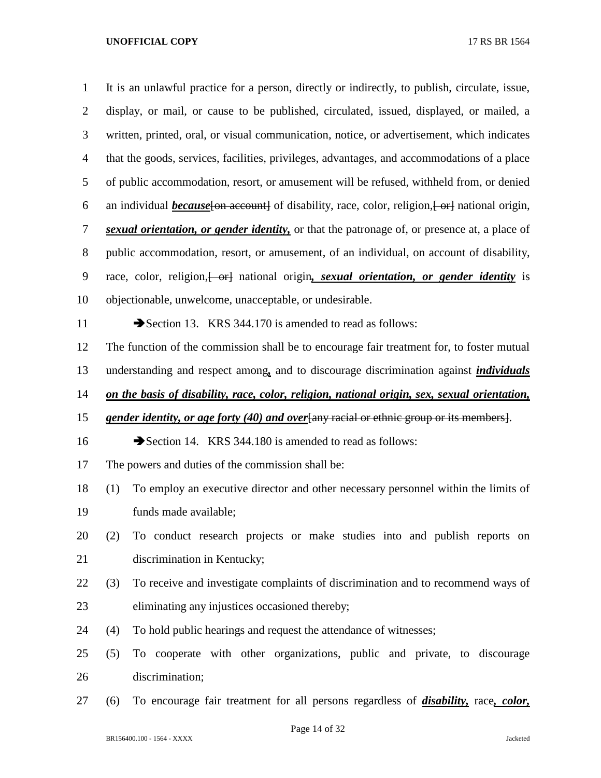It is an unlawful practice for a person, directly or indirectly, to publish, circulate, issue, display, or mail, or cause to be published, circulated, issued, displayed, or mailed, a written, printed, oral, or visual communication, notice, or advertisement, which indicates that the goods, services, facilities, privileges, advantages, and accommodations of a place of public accommodation, resort, or amusement will be refused, withheld from, or denied 6 an individual *because* [on account] of disability, race, color, religion, [or actional origin, *sexual orientation, or gender identity,* or that the patronage of, or presence at, a place of public accommodation, resort, or amusement, of an individual, on account of disability, 9 race, color, religion, <del>[ or]</del> national origin, *sexual orientation*, *or gender identity* is objectionable, unwelcome, unacceptable, or undesirable. 11 Section 13. KRS 344.170 is amended to read as follows: The function of the commission shall be to encourage fair treatment for, to foster mutual understanding and respect among*,* and to discourage discrimination against *individuals on the basis of disability, race, color, religion, national origin, sex, sexual orientation, gender identity, or age forty (40) and over*[any racial or ethnic group or its members]. 16 Section 14. KRS 344.180 is amended to read as follows: The powers and duties of the commission shall be: (1) To employ an executive director and other necessary personnel within the limits of funds made available; (2) To conduct research projects or make studies into and publish reports on discrimination in Kentucky; (3) To receive and investigate complaints of discrimination and to recommend ways of eliminating any injustices occasioned thereby;

- (4) To hold public hearings and request the attendance of witnesses;
- (5) To cooperate with other organizations, public and private, to discourage discrimination;
- (6) To encourage fair treatment for all persons regardless of *disability,* race*, color,*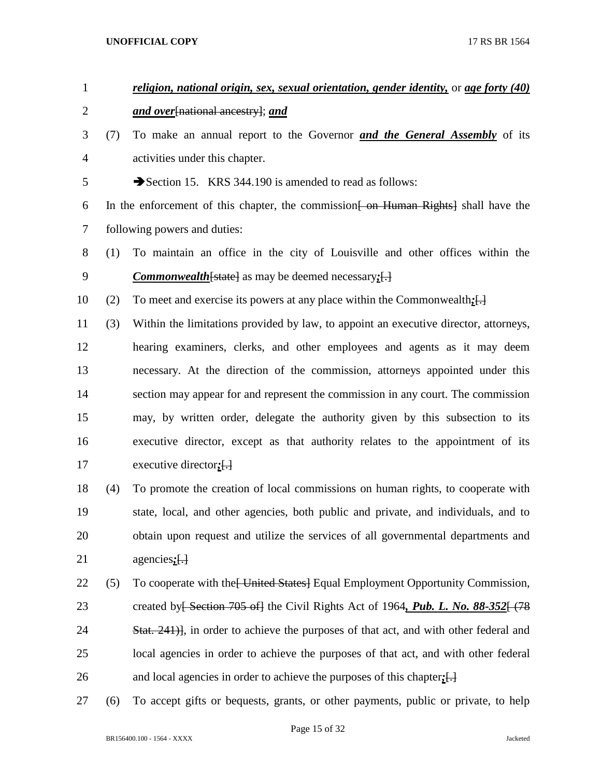# *religion, national origin, sex, sexual orientation, gender identity,* or *age forty (40) and over*[national ancestry]; *and* (7) To make an annual report to the Governor *and the General Assembly* of its activities under this chapter. 5 Section 15. KRS 344.190 is amended to read as follows: 6 In the enforcement of this chapter, the commission  $\frac{1}{2}$  on Human Rights shall have the following powers and duties: (1) To maintain an office in the city of Louisville and other offices within the *Commonwealth*[state] as may be deemed necessary*;*[.] (2) To meet and exercise its powers at any place within the Commonwealth*;*[.] (3) Within the limitations provided by law, to appoint an executive director, attorneys, hearing examiners, clerks, and other employees and agents as it may deem necessary. At the direction of the commission, attorneys appointed under this

 section may appear for and represent the commission in any court. The commission may, by written order, delegate the authority given by this subsection to its executive director, except as that authority relates to the appointment of its executive director*;*[.]

 (4) To promote the creation of local commissions on human rights, to cooperate with state, local, and other agencies, both public and private, and individuals, and to obtain upon request and utilize the services of all governmental departments and agencies*;*[.]

22 (5) To cooperate with the United States Equal Employment Opportunity Commission, 23 created by<del>[ Section 705 of]</del> the Civil Rights Act of 1964, **Pub. L. No. 88-352** [478] 24 Stat. 241), in order to achieve the purposes of that act, and with other federal and local agencies in order to achieve the purposes of that act, and with other federal 26 and local agencies in order to achieve the purposes of this chapter;  $\Box$ 

(6) To accept gifts or bequests, grants, or other payments, public or private, to help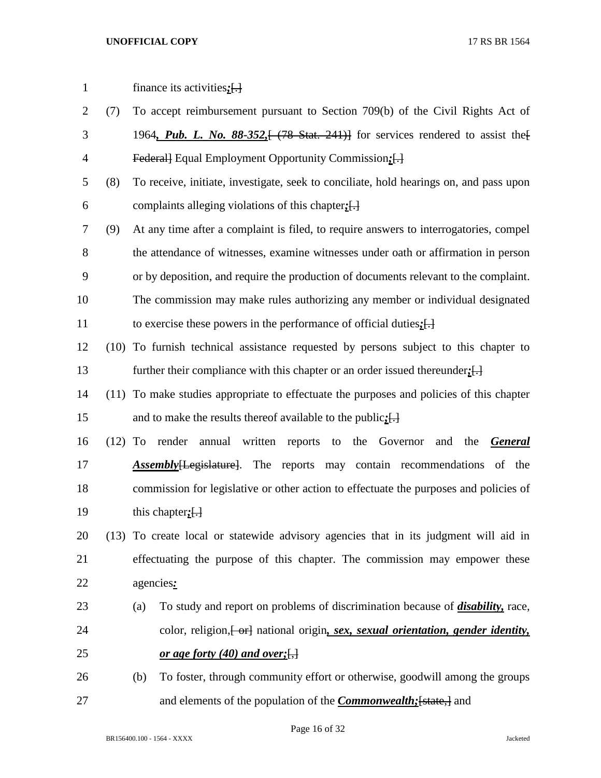| $\mathbf{1}$   |     | finance its activities; $\left[\cdot\right]$                                                                  |  |  |  |  |
|----------------|-----|---------------------------------------------------------------------------------------------------------------|--|--|--|--|
| $\overline{2}$ | (7) | To accept reimbursement pursuant to Section 709(b) of the Civil Rights Act of                                 |  |  |  |  |
| 3              |     | 1964, Pub. L. No. 88-352, $\left(-78\right)$ Stat. 241) for services rendered to assist the $\left(-1\right)$ |  |  |  |  |
| $\overline{4}$ |     | Federall Equal Employment Opportunity Commission: []                                                          |  |  |  |  |
| 5              | (8) | To receive, initiate, investigate, seek to conciliate, hold hearings on, and pass upon                        |  |  |  |  |
| 6              |     | complaints alleging violations of this chapter; []                                                            |  |  |  |  |
| $\overline{7}$ | (9) | At any time after a complaint is filed, to require answers to interrogatories, compel                         |  |  |  |  |
| 8              |     | the attendance of witnesses, examine witnesses under oath or affirmation in person                            |  |  |  |  |
| 9              |     | or by deposition, and require the production of documents relevant to the complaint.                          |  |  |  |  |
| 10             |     | The commission may make rules authorizing any member or individual designated                                 |  |  |  |  |
| 11             |     | to exercise these powers in the performance of official duties; $[\cdot]$                                     |  |  |  |  |
| 12             |     | (10) To furnish technical assistance requested by persons subject to this chapter to                          |  |  |  |  |
| 13             |     | further their compliance with this chapter or an order issued thereunder; $[\cdot]$                           |  |  |  |  |
| 14             |     | (11) To make studies appropriate to effectuate the purposes and policies of this chapter                      |  |  |  |  |
| 15             |     | and to make the results thereof available to the public; $[\cdot]$                                            |  |  |  |  |
| 16             |     | (12) To render annual written reports to the Governor<br>and the<br><b>General</b>                            |  |  |  |  |
| 17             |     | <b>Assembly</b> [Legislature]. The reports may contain recommendations of the                                 |  |  |  |  |
| 18             |     | commission for legislative or other action to effectuate the purposes and policies of                         |  |  |  |  |
| 19             |     | this chapter; $\left[\cdot\right]$                                                                            |  |  |  |  |
| 20             |     | (13) To create local or statewide advisory agencies that in its judgment will aid in                          |  |  |  |  |
| 21             |     | effectuating the purpose of this chapter. The commission may empower these                                    |  |  |  |  |
| 22             |     | agencies:                                                                                                     |  |  |  |  |
| 23             |     | To study and report on problems of discrimination because of <i>disability</i> , race,<br>(a)                 |  |  |  |  |
| 24             |     | color, religion, [-or] national origin, sex, sexual orientation, gender identity,                             |  |  |  |  |
| 25             |     | <u>or age forty (40) and over; <math>\left\{\right\}</math></u>                                               |  |  |  |  |
| 26             |     | To foster, through community effort or otherwise, goodwill among the groups<br>(b)                            |  |  |  |  |
| 27             |     | and elements of the population of the <i>Commonwealth</i> ; [state,] and                                      |  |  |  |  |

Page 16 of 32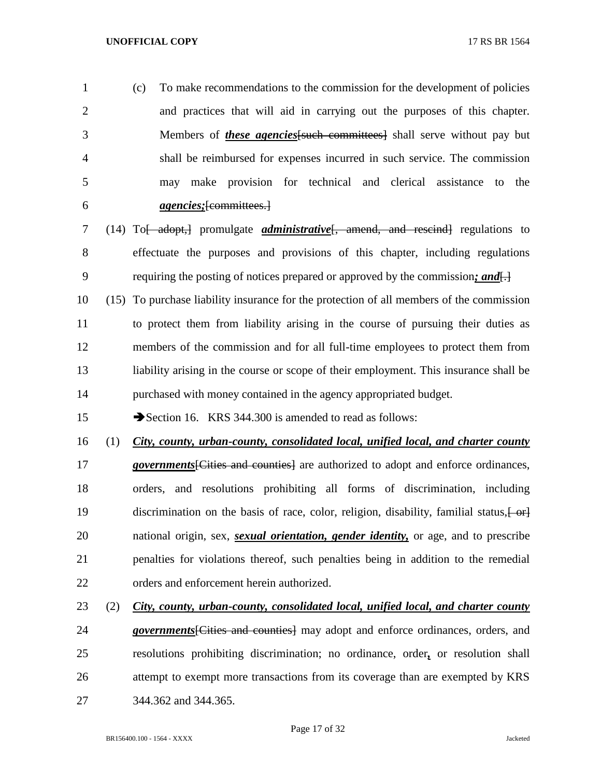(c) To make recommendations to the commission for the development of policies and practices that will aid in carrying out the purposes of this chapter. Members of *these agencies*[such committees] shall serve without pay but shall be reimbursed for expenses incurred in such service. The commission may make provision for technical and clerical assistance to the *agencies;*[committees.]

- (14) To[ adopt,] promulgate *administrative*[, amend, and rescind] regulations to effectuate the purposes and provisions of this chapter, including regulations requiring the posting of notices prepared or approved by the commission*; and*[.]
- (15) To purchase liability insurance for the protection of all members of the commission to protect them from liability arising in the course of pursuing their duties as members of the commission and for all full-time employees to protect them from liability arising in the course or scope of their employment. This insurance shall be purchased with money contained in the agency appropriated budget.

15 Section 16. KRS 344.300 is amended to read as follows:

- (1) *City, county, urban-county, consolidated local, unified local, and charter county*  **governments** [Cities and counties] are authorized to adopt and enforce ordinances, orders, and resolutions prohibiting all forms of discrimination, including 19 discrimination on the basis of race, color, religion, disability, familial status,  $\left\{\theta + \theta\right\}$  national origin, sex, *sexual orientation, gender identity,* or age, and to prescribe penalties for violations thereof, such penalties being in addition to the remedial orders and enforcement herein authorized.
- (2) *City, county, urban-county, consolidated local, unified local, and charter county governments*[Cities and counties] may adopt and enforce ordinances, orders, and resolutions prohibiting discrimination; no ordinance, order*,* or resolution shall attempt to exempt more transactions from its coverage than are exempted by KRS 344.362 and 344.365.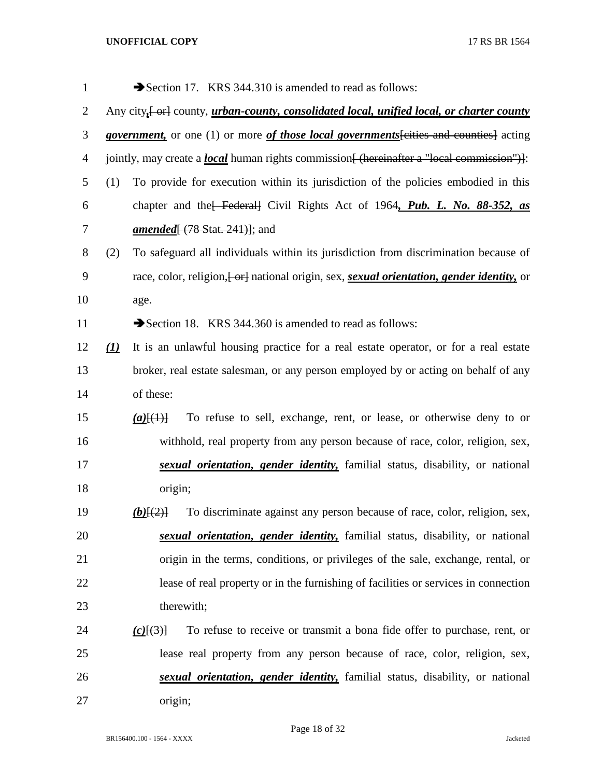| $\mathbf{1}$   |                                                                                                            | Section 17. KRS 344.310 is amended to read as follows:                                                        |  |  |  |
|----------------|------------------------------------------------------------------------------------------------------------|---------------------------------------------------------------------------------------------------------------|--|--|--|
| $\overline{2}$ | Any city <sub>1</sub> or county, <i>urban-county, consolidated local, unified local, or charter county</i> |                                                                                                               |  |  |  |
| 3              | <i>government</i> , or one (1) or more of those local governments [cities and counties] acting             |                                                                                                               |  |  |  |
| $\overline{4}$ |                                                                                                            | jointly, may create a <i>local</i> human rights commission <del>[ (hereinafter a "local commission")]</del> : |  |  |  |
| 5              | (1)                                                                                                        | To provide for execution within its jurisdiction of the policies embodied in this                             |  |  |  |
| 6              |                                                                                                            | chapter and the Federal Civil Rights Act of 1964, Pub. L. No. 88-352, as                                      |  |  |  |
| 7              |                                                                                                            | <i>amended</i> $(78 \text{ Stat. } 241)$ ; and                                                                |  |  |  |
| 8              | (2)                                                                                                        | To safeguard all individuals within its jurisdiction from discrimination because of                           |  |  |  |
| 9              |                                                                                                            | race, color, religion, [or] national origin, sex, sexual orientation, gender identity, or                     |  |  |  |
| 10             |                                                                                                            | age.                                                                                                          |  |  |  |
| 11             |                                                                                                            | Section 18. KRS 344.360 is amended to read as follows:                                                        |  |  |  |
| 12             | $\left( \underline{I}\right)$                                                                              | It is an unlawful housing practice for a real estate operator, or for a real estate                           |  |  |  |
| 13             |                                                                                                            | broker, real estate salesman, or any person employed by or acting on behalf of any                            |  |  |  |
| 14             |                                                                                                            | of these:                                                                                                     |  |  |  |
| 15             |                                                                                                            | To refuse to sell, exchange, rent, or lease, or otherwise deny to or<br>$(a)$ [ $(1)$ ]                       |  |  |  |
| 16             |                                                                                                            | withhold, real property from any person because of race, color, religion, sex,                                |  |  |  |
| 17             |                                                                                                            | sexual orientation, gender identity, familial status, disability, or national                                 |  |  |  |
| 18             |                                                                                                            | origin;                                                                                                       |  |  |  |
| 19             |                                                                                                            | To discriminate against any person because of race, color, religion, sex,<br>$(b)$ $\{2\}$                    |  |  |  |
| 20             |                                                                                                            | sexual orientation, gender identity, familial status, disability, or national                                 |  |  |  |
| 21             |                                                                                                            | origin in the terms, conditions, or privileges of the sale, exchange, rental, or                              |  |  |  |
| 22             |                                                                                                            | lease of real property or in the furnishing of facilities or services in connection                           |  |  |  |
| 23             |                                                                                                            | therewith;                                                                                                    |  |  |  |
| 24             |                                                                                                            | To refuse to receive or transmit a bona fide offer to purchase, rent, or<br>$(c)$ $\{3\}$                     |  |  |  |
| 25             |                                                                                                            | lease real property from any person because of race, color, religion, sex,                                    |  |  |  |
| 26             |                                                                                                            | sexual orientation, gender identity, familial status, disability, or national                                 |  |  |  |
| 27             |                                                                                                            | origin;                                                                                                       |  |  |  |

Page 18 of 32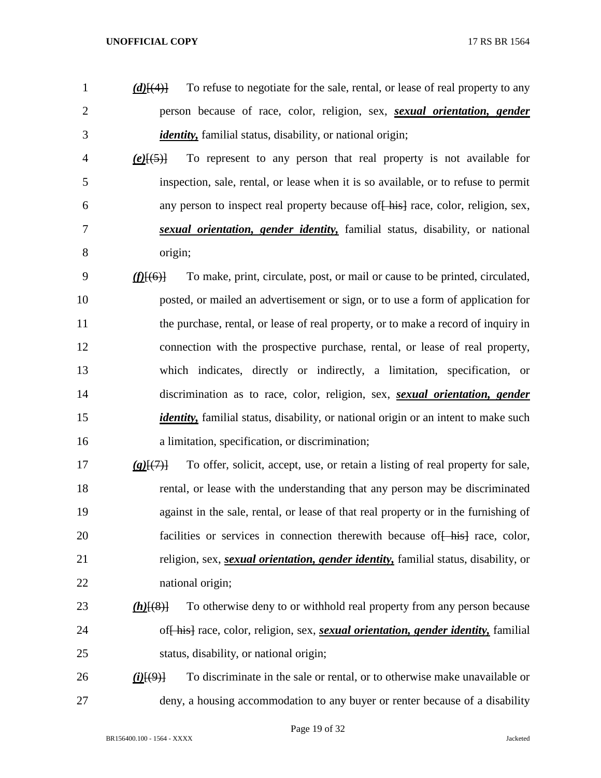- *(d)*[(4)] To refuse to negotiate for the sale, rental, or lease of real property to any person because of race, color, religion, sex, *sexual orientation, gender identity,* familial status, disability, or national origin;
- *(e)*[(5)] To represent to any person that real property is not available for inspection, sale, rental, or lease when it is so available, or to refuse to permit 6 any person to inspect real property because of  $\frac{1}{2}$  race, color, religion, sex, *sexual orientation, gender identity,* familial status, disability, or national origin;
- *(f)*[(6)] To make, print, circulate, post, or mail or cause to be printed, circulated, posted, or mailed an advertisement or sign, or to use a form of application for 11 the purchase, rental, or lease of real property, or to make a record of inquiry in connection with the prospective purchase, rental, or lease of real property, which indicates, directly or indirectly, a limitation, specification, or discrimination as to race, color, religion, sex, *sexual orientation, gender identity*, familial status, disability, or national origin or an intent to make such a limitation, specification, or discrimination;
- *(g)*[(7)] To offer, solicit, accept, use, or retain a listing of real property for sale, rental, or lease with the understanding that any person may be discriminated against in the sale, rental, or lease of that real property or in the furnishing of 20 facilities or services in connection therewith because of hist race, color, religion, sex, *sexual orientation, gender identity,* familial status, disability, or national origin;
- *(h)*[(8)] To otherwise deny to or withhold real property from any person because of[ his] race, color, religion, sex, *sexual orientation, gender identity,* familial status, disability, or national origin;
- *(i)*[(9)] To discriminate in the sale or rental, or to otherwise make unavailable or deny, a housing accommodation to any buyer or renter because of a disability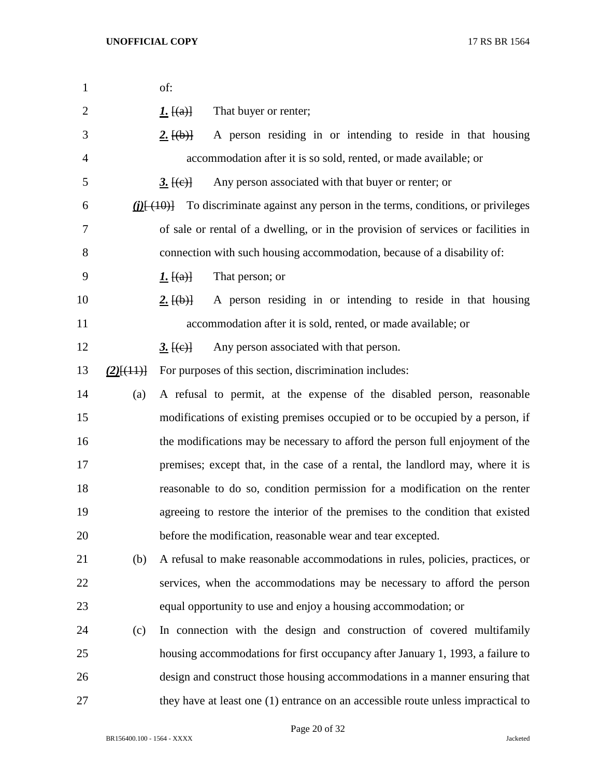| $\mathbf{1}$   |              | of:                                             |                                                                                   |
|----------------|--------------|-------------------------------------------------|-----------------------------------------------------------------------------------|
| $\overline{2}$ |              | <u><i>I</i>.</u> $[(a)]$                        | That buyer or renter;                                                             |
| 3              |              | $2.$ [(b)]                                      | A person residing in or intending to reside in that housing                       |
| 4              |              |                                                 | accommodation after it is so sold, rented, or made available; or                  |
| 5              |              | 3.[(e)]                                         | Any person associated with that buyer or renter; or                               |
| 6              |              | $(i)$ $\left\{ \frac{(i+1)(i+1)}{i+1} \right\}$ | To discriminate against any person in the terms, conditions, or privileges        |
| 7              |              |                                                 | of sale or rental of a dwelling, or in the provision of services or facilities in |
| 8              |              |                                                 | connection with such housing accommodation, because of a disability of:           |
| 9              |              | <u><i>I</i>.</u> $[(a)]$                        | That person; or                                                                   |
| 10             |              | 2.[(b)]                                         | A person residing in or intending to reside in that housing                       |
| 11             |              |                                                 | accommodation after it is sold, rented, or made available; or                     |
| 12             |              | <u>3. <math>[(e)]</math></u>                    | Any person associated with that person.                                           |
| 13             | $(2)$ [(11)] |                                                 | For purposes of this section, discrimination includes:                            |
| 14             | (a)          |                                                 | A refusal to permit, at the expense of the disabled person, reasonable            |
| 15             |              |                                                 | modifications of existing premises occupied or to be occupied by a person, if     |
| 16             |              |                                                 | the modifications may be necessary to afford the person full enjoyment of the     |
| 17             |              |                                                 | premises; except that, in the case of a rental, the landlord may, where it is     |
| 18             |              |                                                 | reasonable to do so, condition permission for a modification on the renter        |
| 19             |              |                                                 | agreeing to restore the interior of the premises to the condition that existed    |
| 20             |              |                                                 | before the modification, reasonable wear and tear excepted.                       |
| 21             | (b)          |                                                 | A refusal to make reasonable accommodations in rules, policies, practices, or     |
| 22             |              |                                                 | services, when the accommodations may be necessary to afford the person           |
| 23             |              |                                                 | equal opportunity to use and enjoy a housing accommodation; or                    |
| 24             | (c)          |                                                 | In connection with the design and construction of covered multifamily             |
| 25             |              |                                                 | housing accommodations for first occupancy after January 1, 1993, a failure to    |
| 26             |              |                                                 | design and construct those housing accommodations in a manner ensuring that       |
| 27             |              |                                                 | they have at least one (1) entrance on an accessible route unless impractical to  |

Page 20 of 32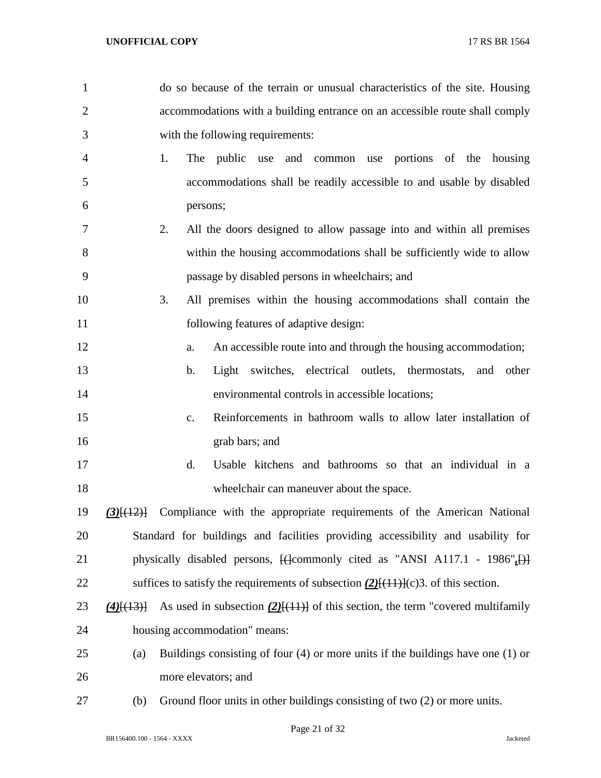| $\overline{2}$ |                                      | accommodations with a building entrance on an accessible route shall comply                   |
|----------------|--------------------------------------|-----------------------------------------------------------------------------------------------|
| 3              |                                      | with the following requirements:                                                              |
| 4              |                                      | 1.<br>public use and common use portions of the housing<br>The                                |
| 5              |                                      | accommodations shall be readily accessible to and usable by disabled                          |
| 6              |                                      | persons;                                                                                      |
| 7              |                                      | All the doors designed to allow passage into and within all premises<br>2.                    |
| 8              |                                      | within the housing accommodations shall be sufficiently wide to allow                         |
| 9              |                                      | passage by disabled persons in wheelchairs; and                                               |
| 10             |                                      | 3.<br>All premises within the housing accommodations shall contain the                        |
| 11             |                                      | following features of adaptive design:                                                        |
| 12             |                                      | An accessible route into and through the housing accommodation;<br>a.                         |
| 13             |                                      | switches, electrical outlets, thermostats,<br>$\mathbf b$ .<br>Light<br>and other             |
| 14             |                                      | environmental controls in accessible locations;                                               |
| 15             |                                      | Reinforcements in bathroom walls to allow later installation of<br>$C_{\bullet}$              |
| 16             |                                      | grab bars; and                                                                                |
| 17             |                                      | d.<br>Usable kitchens and bathrooms so that an individual in a                                |
| 18             |                                      | wheelchair can maneuver about the space.                                                      |
| 19             | $(3)$ $\left[\frac{(12)}{12}\right]$ | Compliance with the appropriate requirements of the American National                         |
| 20             |                                      | Standard for buildings and facilities providing accessibility and usability for               |
| 21             |                                      | physically disabled persons, $\{\text{Gomm only cited as "ANSI A117.1 - 1986",} \}$           |
| 22             |                                      | suffices to satisfy the requirements of subsection $(2)$ [ $(11)$ ] $(c)$ 3. of this section. |
| 23             | $(4)$ [(13)]                         | As used in subsection $(2)$ [(11)] of this section, the term "covered multifamily             |
| 24             |                                      | housing accommodation" means:                                                                 |
| 25             | (a)                                  | Buildings consisting of four $(4)$ or more units if the buildings have one $(1)$ or           |
| 26             |                                      | more elevators; and                                                                           |
|                |                                      |                                                                                               |

do so because of the terrain or unusual characteristics of the site. Housing

(b) Ground floor units in other buildings consisting of two (2) or more units.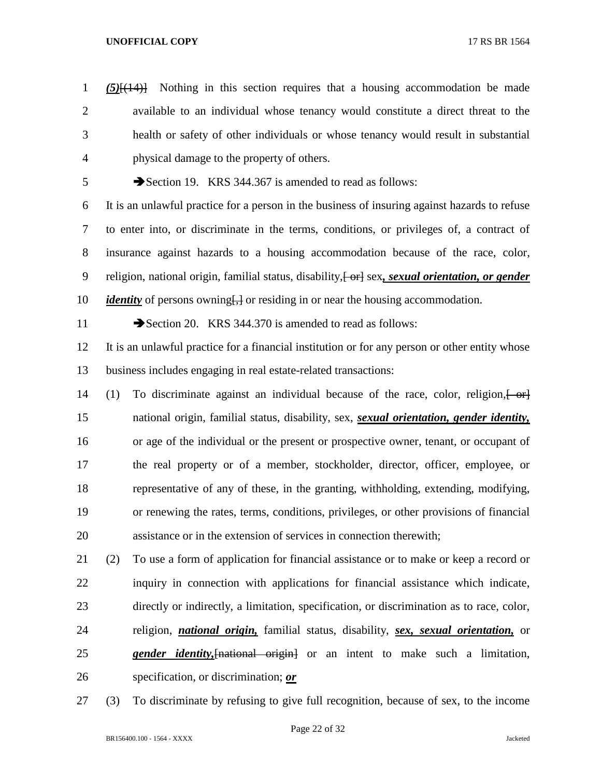*(5)*[(14)] Nothing in this section requires that a housing accommodation be made available to an individual whose tenancy would constitute a direct threat to the health or safety of other individuals or whose tenancy would result in substantial physical damage to the property of others. Section 19. KRS 344.367 is amended to read as follows:

 It is an unlawful practice for a person in the business of insuring against hazards to refuse to enter into, or discriminate in the terms, conditions, or privileges of, a contract of insurance against hazards to a housing accommodation because of the race, color, 9 religion, national origin, familial status, disability,  $\frac{1}{1}$  or and *sexual orientation, or gender identity* of persons owning<del>[,]</del> or residing in or near the housing accommodation.

11 Section 20. KRS 344.370 is amended to read as follows:

 It is an unlawful practice for a financial institution or for any person or other entity whose business includes engaging in real estate-related transactions:

- 14 (1) To discriminate against an individual because of the race, color, religion,  $\left\{\n\begin{array}{c}\n\text{or}\n\end{array}\n\right\}$  national origin, familial status, disability, sex, *sexual orientation, gender identity,* or age of the individual or the present or prospective owner, tenant, or occupant of the real property or of a member, stockholder, director, officer, employee, or representative of any of these, in the granting, withholding, extending, modifying, or renewing the rates, terms, conditions, privileges, or other provisions of financial assistance or in the extension of services in connection therewith;
- (2) To use a form of application for financial assistance or to make or keep a record or inquiry in connection with applications for financial assistance which indicate, directly or indirectly, a limitation, specification, or discrimination as to race, color, religion, *national origin,* familial status, disability, *sex, sexual orientation,* or *gender identity,*[national origin] or an intent to make such a limitation, specification, or discrimination; *or*
- (3) To discriminate by refusing to give full recognition, because of sex, to the income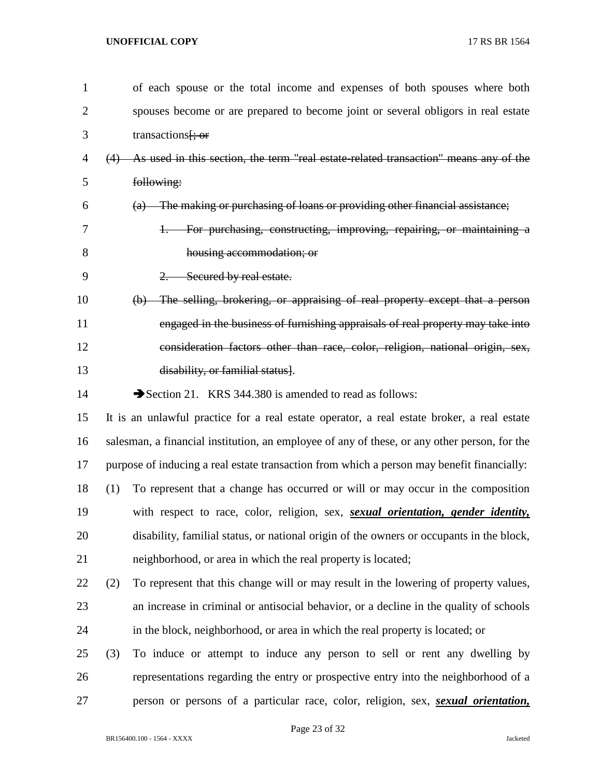| $\mathbf{1}$ |     | of each spouse or the total income and expenses of both spouses where both                   |
|--------------|-----|----------------------------------------------------------------------------------------------|
| 2            |     | spouses become or are prepared to become joint or several obligors in real estate            |
| 3            |     | transactions <del>[; or</del>                                                                |
| 4            | (4) | As used in this section, the term "real estate-related transaction" means any of the         |
| 5            |     | following:                                                                                   |
| 6            |     | (a) The making or purchasing of loans or providing other financial assistance;               |
| 7            |     | 1. For purchasing, constructing, improving, repairing, or maintaining a                      |
| 8            |     | housing accommodation; or                                                                    |
| 9            |     | 2. Secured by real estate.                                                                   |
| 10           |     | (b) The selling, brokering, or appraising of real property except that a person              |
| 11           |     | engaged in the business of furnishing appraisals of real property may take into              |
| 12           |     | consideration factors other than race, color, religion, national origin, sex,                |
| 13           |     | disability, or familial status].                                                             |
| 14           |     | Section 21. KRS 344.380 is amended to read as follows:                                       |
| 15           |     | It is an unlawful practice for a real estate operator, a real estate broker, a real estate   |
| 16           |     | salesman, a financial institution, an employee of any of these, or any other person, for the |
| 17           |     | purpose of inducing a real estate transaction from which a person may benefit financially:   |
| 18           | (1) | To represent that a change has occurred or will or may occur in the composition              |
| 19           |     | with respect to race, color, religion, sex, sexual orientation, gender identity,             |
| 20           |     | disability, familial status, or national origin of the owners or occupants in the block,     |
| 21           |     | neighborhood, or area in which the real property is located;                                 |
| 22           | (2) | To represent that this change will or may result in the lowering of property values,         |
| 23           |     | an increase in criminal or antisocial behavior, or a decline in the quality of schools       |
| 24           |     | in the block, neighborhood, or area in which the real property is located; or                |
| 25           | (3) | To induce or attempt to induce any person to sell or rent any dwelling by                    |
| 26           |     | representations regarding the entry or prospective entry into the neighborhood of a          |
| 27           |     | person or persons of a particular race, color, religion, sex, <i>sexual orientation</i> ,    |

Page 23 of 32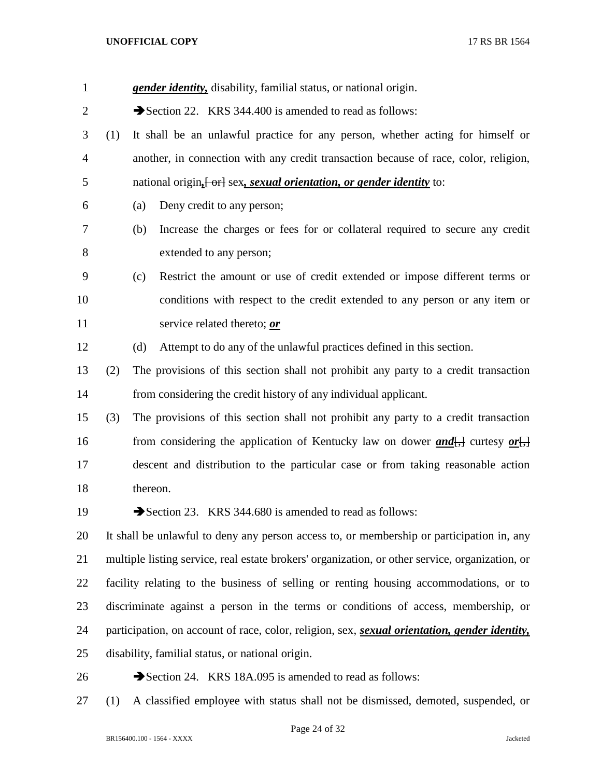| $\mathbf{1}$ |     | <b>gender identity</b> , disability, familial status, or national origin.                                     |
|--------------|-----|---------------------------------------------------------------------------------------------------------------|
| 2            |     | Section 22. KRS 344.400 is amended to read as follows:                                                        |
| 3            | (1) | It shall be an unlawful practice for any person, whether acting for himself or                                |
| 4            |     | another, in connection with any credit transaction because of race, color, religion,                          |
| 5            |     | national origin <sub>it</sub> or sex, sexual orientation, or gender identity to:                              |
| 6            |     | (a)<br>Deny credit to any person;                                                                             |
| 7            |     | Increase the charges or fees for or collateral required to secure any credit<br>(b)                           |
| 8            |     | extended to any person;                                                                                       |
| 9            |     | Restrict the amount or use of credit extended or impose different terms or<br>(c)                             |
| 10           |     | conditions with respect to the credit extended to any person or any item or                                   |
| 11           |     | service related thereto; or                                                                                   |
| 12           |     | Attempt to do any of the unlawful practices defined in this section.<br>(d)                                   |
| 13           | (2) | The provisions of this section shall not prohibit any party to a credit transaction                           |
| 14           |     | from considering the credit history of any individual applicant.                                              |
| 15           | (3) | The provisions of this section shall not prohibit any party to a credit transaction                           |
| 16           |     | from considering the application of Kentucky law on dower $and$ , curtesy or,                                 |
| 17           |     | descent and distribution to the particular case or from taking reasonable action                              |
| 18           |     | thereon.                                                                                                      |
| 19           |     | Section 23. KRS 344.680 is amended to read as follows:                                                        |
| 20           |     | It shall be unlawful to deny any person access to, or membership or participation in, any                     |
| 21           |     | multiple listing service, real estate brokers' organization, or other service, organization, or               |
| 22           |     | facility relating to the business of selling or renting housing accommodations, or to                         |
| 23           |     | discriminate against a person in the terms or conditions of access, membership, or                            |
| 24           |     | participation, on account of race, color, religion, sex, <i>sexual orientation</i> , <i>gender identity</i> , |
| 25           |     | disability, familial status, or national origin.                                                              |
| 26           |     | Section 24. KRS 18A.095 is amended to read as follows:                                                        |

(1) A classified employee with status shall not be dismissed, demoted, suspended, or

Page 24 of 32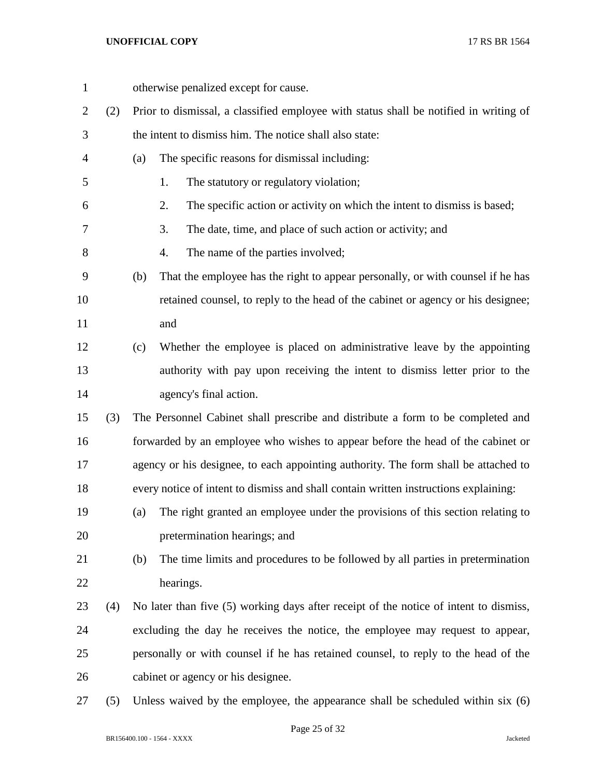| $\mathbf{1}$   |     | otherwise penalized except for cause.                                                  |  |
|----------------|-----|----------------------------------------------------------------------------------------|--|
| $\overline{2}$ | (2) | Prior to dismissal, a classified employee with status shall be notified in writing of  |  |
| 3              |     | the intent to dismiss him. The notice shall also state:                                |  |
| $\overline{4}$ |     | The specific reasons for dismissal including:<br>(a)                                   |  |
| 5              |     | The statutory or regulatory violation;<br>1.                                           |  |
| 6              |     | The specific action or activity on which the intent to dismiss is based;<br>2.         |  |
| 7              |     | 3.<br>The date, time, and place of such action or activity; and                        |  |
| 8              |     | 4.<br>The name of the parties involved;                                                |  |
| 9              |     | That the employee has the right to appear personally, or with counsel if he has<br>(b) |  |
| 10             |     | retained counsel, to reply to the head of the cabinet or agency or his designee;       |  |
| 11             |     | and                                                                                    |  |
| 12             |     | Whether the employee is placed on administrative leave by the appointing<br>(c)        |  |
| 13             |     | authority with pay upon receiving the intent to dismiss letter prior to the            |  |
| 14             |     | agency's final action.                                                                 |  |
| 15             | (3) | The Personnel Cabinet shall prescribe and distribute a form to be completed and        |  |
| 16             |     | forwarded by an employee who wishes to appear before the head of the cabinet or        |  |
| 17             |     | agency or his designee, to each appointing authority. The form shall be attached to    |  |
| 18             |     | every notice of intent to dismiss and shall contain written instructions explaining:   |  |
| 19             |     | The right granted an employee under the provisions of this section relating to<br>(a)  |  |
| 20             |     | pretermination hearings; and                                                           |  |
| 21             |     | The time limits and procedures to be followed by all parties in pretermination<br>(b)  |  |
| 22             |     | hearings.                                                                              |  |
| 23             | (4) | No later than five (5) working days after receipt of the notice of intent to dismiss,  |  |
| 24             |     | excluding the day he receives the notice, the employee may request to appear,          |  |
| 25             |     | personally or with counsel if he has retained counsel, to reply to the head of the     |  |
| 26             |     | cabinet or agency or his designee.                                                     |  |
| 27             | (5) | Unless waived by the employee, the appearance shall be scheduled within six (6)        |  |

Page 25 of 32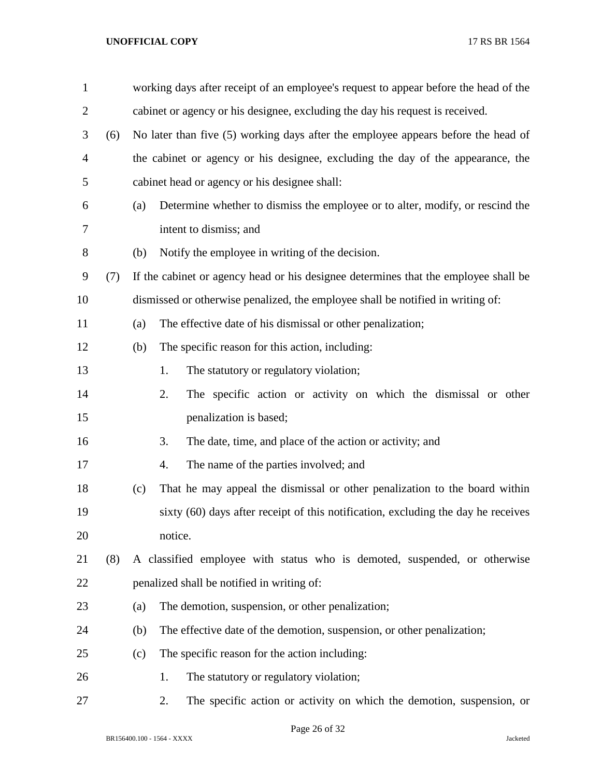| $\mathbf{1}$   |     |     | working days after receipt of an employee's request to appear before the head of the |
|----------------|-----|-----|--------------------------------------------------------------------------------------|
| $\overline{2}$ |     |     | cabinet or agency or his designee, excluding the day his request is received.        |
| 3              | (6) |     | No later than five (5) working days after the employee appears before the head of    |
| 4              |     |     | the cabinet or agency or his designee, excluding the day of the appearance, the      |
| 5              |     |     | cabinet head or agency or his designee shall:                                        |
| 6              |     | (a) | Determine whether to dismiss the employee or to alter, modify, or rescind the        |
| 7              |     |     | intent to dismiss; and                                                               |
| 8              |     | (b) | Notify the employee in writing of the decision.                                      |
| 9              | (7) |     | If the cabinet or agency head or his designee determines that the employee shall be  |
| 10             |     |     | dismissed or otherwise penalized, the employee shall be notified in writing of:      |
| 11             |     | (a) | The effective date of his dismissal or other penalization;                           |
| 12             |     | (b) | The specific reason for this action, including:                                      |
| 13             |     |     | The statutory or regulatory violation;<br>1.                                         |
| 14             |     |     | 2.<br>The specific action or activity on which the dismissal or other                |
| 15             |     |     | penalization is based;                                                               |
| 16             |     |     | The date, time, and place of the action or activity; and<br>3.                       |
| 17             |     |     | The name of the parties involved; and<br>4.                                          |
| 18             |     | (c) | That he may appeal the dismissal or other penalization to the board within           |
| 19             |     |     | sixty (60) days after receipt of this notification, excluding the day he receives    |
| 20             |     |     | notice.                                                                              |
| 21             | (8) |     | A classified employee with status who is demoted, suspended, or otherwise            |
| 22             |     |     | penalized shall be notified in writing of:                                           |
| 23             |     | (a) | The demotion, suspension, or other penalization;                                     |
| 24             |     | (b) | The effective date of the demotion, suspension, or other penalization;               |
| 25             |     | (c) | The specific reason for the action including:                                        |
| 26             |     |     | The statutory or regulatory violation;<br>1.                                         |
| 27             |     |     | 2.<br>The specific action or activity on which the demotion, suspension, or          |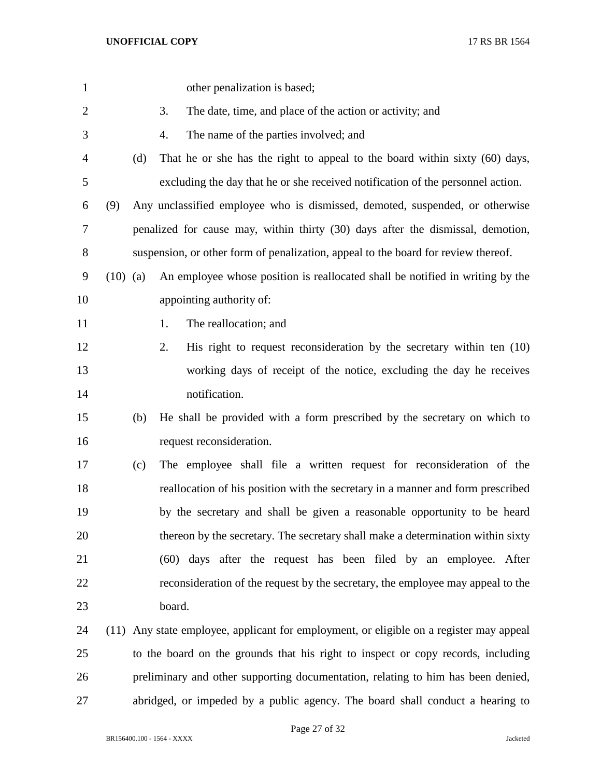| $\mathbf{1}$   |            |     | other penalization is based;                                                            |
|----------------|------------|-----|-----------------------------------------------------------------------------------------|
| $\overline{2}$ |            |     | The date, time, and place of the action or activity; and<br>3.                          |
| 3              |            |     | The name of the parties involved; and<br>4.                                             |
| 4              |            | (d) | That he or she has the right to appeal to the board within sixty (60) days,             |
| 5              |            |     | excluding the day that he or she received notification of the personnel action.         |
| 6              | (9)        |     | Any unclassified employee who is dismissed, demoted, suspended, or otherwise            |
| 7              |            |     | penalized for cause may, within thirty (30) days after the dismissal, demotion,         |
| $8\,$          |            |     | suspension, or other form of penalization, appeal to the board for review thereof.      |
| 9              | $(10)$ (a) |     | An employee whose position is reallocated shall be notified in writing by the           |
| 10             |            |     | appointing authority of:                                                                |
| 11             |            |     | The reallocation; and<br>1.                                                             |
| 12             |            |     | His right to request reconsideration by the secretary within ten $(10)$<br>2.           |
| 13             |            |     | working days of receipt of the notice, excluding the day he receives                    |
| 14             |            |     | notification.                                                                           |
| 15             |            | (b) | He shall be provided with a form prescribed by the secretary on which to                |
| 16             |            |     | request reconsideration.                                                                |
| 17             |            | (c) | The employee shall file a written request for reconsideration of the                    |
| 18             |            |     | reallocation of his position with the secretary in a manner and form prescribed         |
| 19             |            |     | by the secretary and shall be given a reasonable opportunity to be heard                |
| 20             |            |     | thereon by the secretary. The secretary shall make a determination within sixty         |
| 21             |            |     | (60) days after the request has been filed by an employee. After                        |
| 22             |            |     | reconsideration of the request by the secretary, the employee may appeal to the         |
| 23             |            |     | board.                                                                                  |
| 24             |            |     | (11) Any state employee, applicant for employment, or eligible on a register may appeal |
| 25             |            |     | to the board on the grounds that his right to inspect or copy records, including        |
| 26             |            |     | preliminary and other supporting documentation, relating to him has been denied,        |
| 27             |            |     | abridged, or impeded by a public agency. The board shall conduct a hearing to           |

Page 27 of 32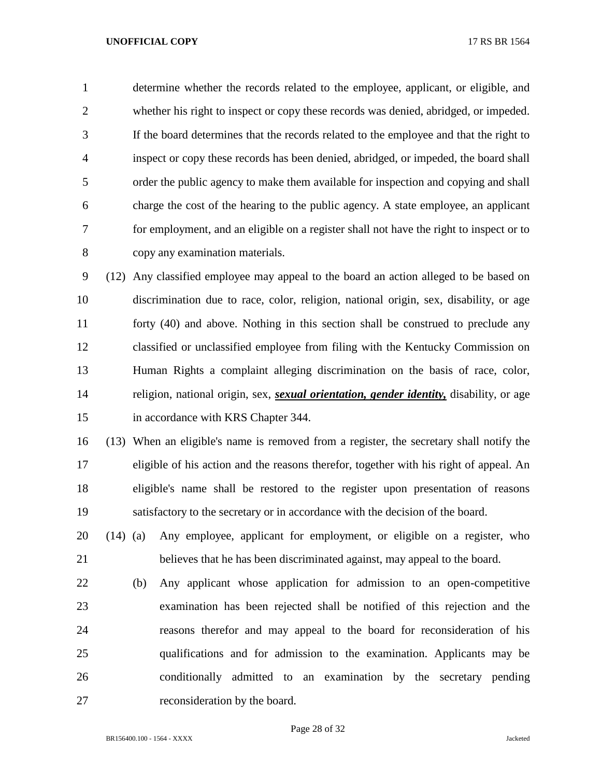determine whether the records related to the employee, applicant, or eligible, and whether his right to inspect or copy these records was denied, abridged, or impeded. If the board determines that the records related to the employee and that the right to inspect or copy these records has been denied, abridged, or impeded, the board shall order the public agency to make them available for inspection and copying and shall charge the cost of the hearing to the public agency. A state employee, an applicant for employment, and an eligible on a register shall not have the right to inspect or to copy any examination materials.

 (12) Any classified employee may appeal to the board an action alleged to be based on discrimination due to race, color, religion, national origin, sex, disability, or age forty (40) and above. Nothing in this section shall be construed to preclude any classified or unclassified employee from filing with the Kentucky Commission on Human Rights a complaint alleging discrimination on the basis of race, color, religion, national origin, sex, *sexual orientation, gender identity,* disability, or age in accordance with KRS Chapter 344.

 (13) When an eligible's name is removed from a register, the secretary shall notify the eligible of his action and the reasons therefor, together with his right of appeal. An eligible's name shall be restored to the register upon presentation of reasons satisfactory to the secretary or in accordance with the decision of the board.

 (14) (a) Any employee, applicant for employment, or eligible on a register, who believes that he has been discriminated against, may appeal to the board.

 (b) Any applicant whose application for admission to an open-competitive examination has been rejected shall be notified of this rejection and the reasons therefor and may appeal to the board for reconsideration of his qualifications and for admission to the examination. Applicants may be conditionally admitted to an examination by the secretary pending reconsideration by the board.

Page 28 of 32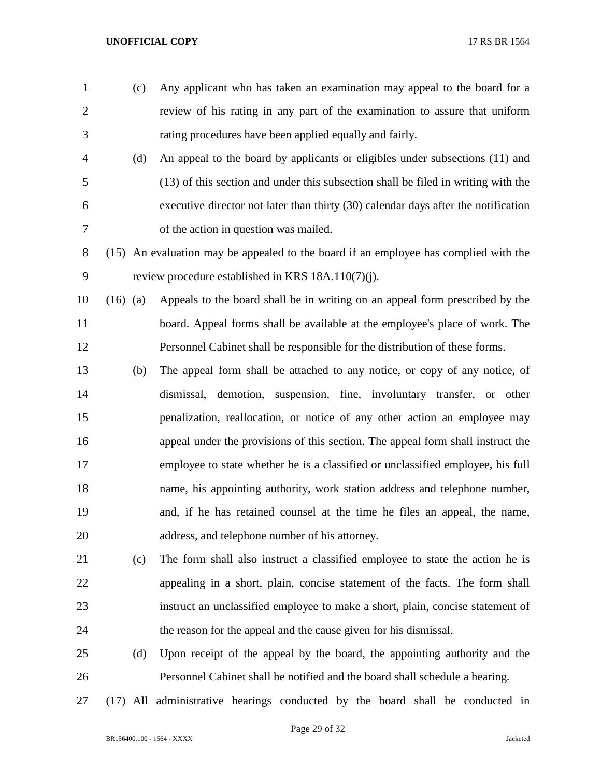- (c) Any applicant who has taken an examination may appeal to the board for a review of his rating in any part of the examination to assure that uniform rating procedures have been applied equally and fairly.
- (d) An appeal to the board by applicants or eligibles under subsections (11) and (13) of this section and under this subsection shall be filed in writing with the executive director not later than thirty (30) calendar days after the notification of the action in question was mailed.
- (15) An evaluation may be appealed to the board if an employee has complied with the review procedure established in KRS 18A.110(7)(j).
- (16) (a) Appeals to the board shall be in writing on an appeal form prescribed by the board. Appeal forms shall be available at the employee's place of work. The Personnel Cabinet shall be responsible for the distribution of these forms.
- (b) The appeal form shall be attached to any notice, or copy of any notice, of dismissal, demotion, suspension, fine, involuntary transfer, or other penalization, reallocation, or notice of any other action an employee may appeal under the provisions of this section. The appeal form shall instruct the employee to state whether he is a classified or unclassified employee, his full name, his appointing authority, work station address and telephone number, and, if he has retained counsel at the time he files an appeal, the name, address, and telephone number of his attorney.
- (c) The form shall also instruct a classified employee to state the action he is appealing in a short, plain, concise statement of the facts. The form shall instruct an unclassified employee to make a short, plain, concise statement of the reason for the appeal and the cause given for his dismissal.
- (d) Upon receipt of the appeal by the board, the appointing authority and the Personnel Cabinet shall be notified and the board shall schedule a hearing.
- (17) All administrative hearings conducted by the board shall be conducted in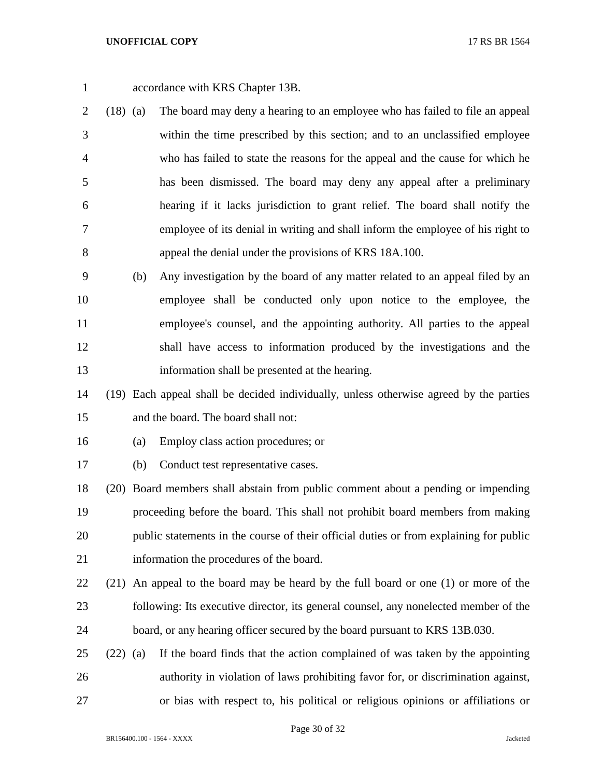- accordance with KRS Chapter 13B.
- (18) (a) The board may deny a hearing to an employee who has failed to file an appeal within the time prescribed by this section; and to an unclassified employee who has failed to state the reasons for the appeal and the cause for which he has been dismissed. The board may deny any appeal after a preliminary hearing if it lacks jurisdiction to grant relief. The board shall notify the employee of its denial in writing and shall inform the employee of his right to appeal the denial under the provisions of KRS 18A.100.
- (b) Any investigation by the board of any matter related to an appeal filed by an employee shall be conducted only upon notice to the employee, the employee's counsel, and the appointing authority. All parties to the appeal shall have access to information produced by the investigations and the information shall be presented at the hearing.

 (19) Each appeal shall be decided individually, unless otherwise agreed by the parties and the board. The board shall not:

- (a) Employ class action procedures; or
- (b) Conduct test representative cases.

 (20) Board members shall abstain from public comment about a pending or impending proceeding before the board. This shall not prohibit board members from making public statements in the course of their official duties or from explaining for public information the procedures of the board.

- (21) An appeal to the board may be heard by the full board or one (1) or more of the following: Its executive director, its general counsel, any nonelected member of the board, or any hearing officer secured by the board pursuant to KRS 13B.030.
- (22) (a) If the board finds that the action complained of was taken by the appointing authority in violation of laws prohibiting favor for, or discrimination against, or bias with respect to, his political or religious opinions or affiliations or

Page 30 of 32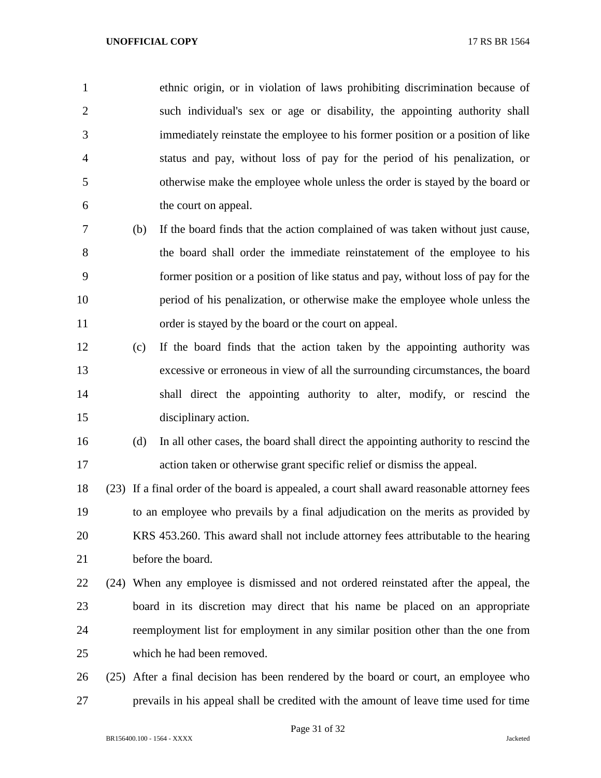ethnic origin, or in violation of laws prohibiting discrimination because of such individual's sex or age or disability, the appointing authority shall immediately reinstate the employee to his former position or a position of like status and pay, without loss of pay for the period of his penalization, or otherwise make the employee whole unless the order is stayed by the board or the court on appeal.

- (b) If the board finds that the action complained of was taken without just cause, the board shall order the immediate reinstatement of the employee to his former position or a position of like status and pay, without loss of pay for the period of his penalization, or otherwise make the employee whole unless the order is stayed by the board or the court on appeal.
- (c) If the board finds that the action taken by the appointing authority was excessive or erroneous in view of all the surrounding circumstances, the board shall direct the appointing authority to alter, modify, or rescind the disciplinary action.
- (d) In all other cases, the board shall direct the appointing authority to rescind the action taken or otherwise grant specific relief or dismiss the appeal.

 (23) If a final order of the board is appealed, a court shall award reasonable attorney fees to an employee who prevails by a final adjudication on the merits as provided by KRS 453.260. This award shall not include attorney fees attributable to the hearing before the board.

# (24) When any employee is dismissed and not ordered reinstated after the appeal, the board in its discretion may direct that his name be placed on an appropriate reemployment list for employment in any similar position other than the one from which he had been removed.

 (25) After a final decision has been rendered by the board or court, an employee who prevails in his appeal shall be credited with the amount of leave time used for time